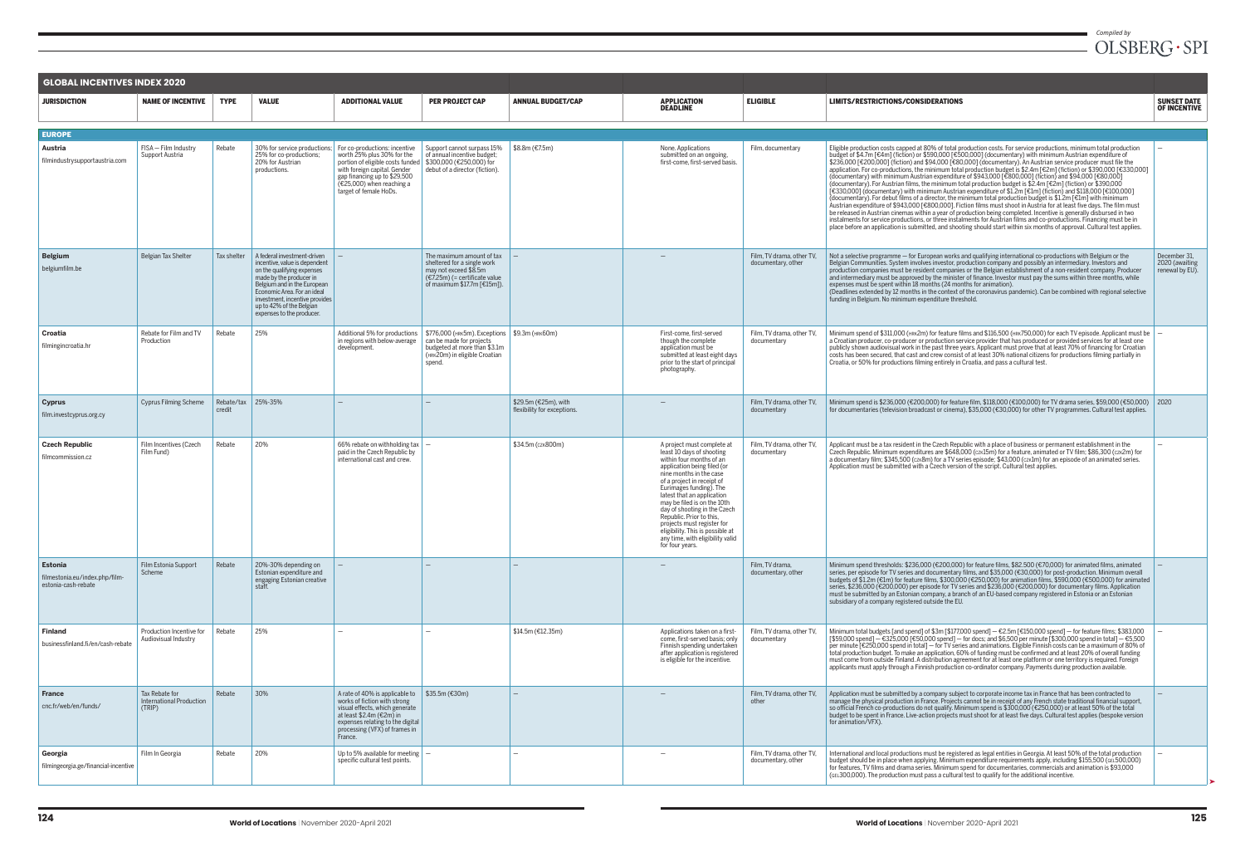| <b>GLOBAL INCENTIVES INDEX 2020</b>                                     |                                                             |                      |                                                                                                                                                                                                                                                                                |                                                                                                                                                                                                                         |                                                                                                                                                     |                                                     |                                                                                                                                                                                                                                                                                                                                                                                                                                                          |                                                 |  |
|-------------------------------------------------------------------------|-------------------------------------------------------------|----------------------|--------------------------------------------------------------------------------------------------------------------------------------------------------------------------------------------------------------------------------------------------------------------------------|-------------------------------------------------------------------------------------------------------------------------------------------------------------------------------------------------------------------------|-----------------------------------------------------------------------------------------------------------------------------------------------------|-----------------------------------------------------|----------------------------------------------------------------------------------------------------------------------------------------------------------------------------------------------------------------------------------------------------------------------------------------------------------------------------------------------------------------------------------------------------------------------------------------------------------|-------------------------------------------------|--|
| <b>JURISDICTION</b>                                                     | <b>NAME OF INCENTIVE</b>                                    | <b>TYPE</b>          | <b>VALUE</b>                                                                                                                                                                                                                                                                   | <b>ADDITIONAL VALUE</b>                                                                                                                                                                                                 | <b>PER PROJECT CAP</b>                                                                                                                              | <b>ANNUAL BUDGET/CAP</b>                            | <b>APPLICATION</b><br><b>DEADLINE</b>                                                                                                                                                                                                                                                                                                                                                                                                                    | <b>ELIGIBLE</b>                                 |  |
|                                                                         |                                                             |                      |                                                                                                                                                                                                                                                                                |                                                                                                                                                                                                                         |                                                                                                                                                     |                                                     |                                                                                                                                                                                                                                                                                                                                                                                                                                                          |                                                 |  |
| <b>EUROPE</b>                                                           |                                                             |                      |                                                                                                                                                                                                                                                                                |                                                                                                                                                                                                                         |                                                                                                                                                     |                                                     |                                                                                                                                                                                                                                                                                                                                                                                                                                                          |                                                 |  |
| Austria<br>filmindustrysupportaustria.com                               | FISA - Film Industry<br>Support Austria                     | Rebate               | 30% for service productions;<br>25% for co-productions;<br>20% for Austrian<br>productions.                                                                                                                                                                                    | For co-productions: incentive<br>worth 25% plus 30% for the<br>portion of eligible costs funded<br>with foreign capital. Gender<br>gap financing up to \$29,500<br>$(25,000)$ when reaching a<br>target of female HoDs. | Support cannot surpass 15%<br>of annual incentive budget;<br>\$300,000 (€250,000) for<br>debut of a director (fiction).                             | \$8.8m (€7.5m)                                      | None. Applications<br>submitted on an ongoing,<br>first-come, first-served basis.                                                                                                                                                                                                                                                                                                                                                                        | Film, documentary                               |  |
| <b>Belgium</b><br>belgiumfilm.be                                        | <b>Belgian Tax Shelter</b>                                  | Tax shelter          | A federal investment-driven<br>incentive, value is dependent<br>on the qualifying expenses<br>made by the producer in<br>Belgium and in the European<br>Economic Area. For an ideal<br>investment, incentive provides<br>up to 42% of the Belgian<br>expenses to the producer. |                                                                                                                                                                                                                         | The maximum amount of tax<br>sheltered for a single work<br>may not exceed \$8.5m<br>$(€7.25m) (=$ certificate value<br>of maximum \$17.7m [€15m]). |                                                     |                                                                                                                                                                                                                                                                                                                                                                                                                                                          | Film. TV drama, other TV.<br>documentary, other |  |
| Croatia<br>filmingincroatia.hr                                          | Rebate for Film and TV<br>Production                        | Rebate               | 25%                                                                                                                                                                                                                                                                            | Additional 5% for productions<br>in regions with below-average<br>development.                                                                                                                                          | \$776,000 (HRK5m). Exceptions<br>can be made for projects<br>budgeted at more than \$3.1m<br>(HRK20m) in eligible Croatian<br>spend.                | \$9.3m (HRK60m)                                     | First-come, first-served<br>though the complete<br>application must be<br>submitted at least eight days<br>prior to the start of principal<br>photography.                                                                                                                                                                                                                                                                                               | Film, TV drama, other TV,<br>documentary        |  |
| <b>Cyprus</b><br>film.investcyprus.org.cy                               | <b>Cyprus Filming Scheme</b>                                | Rebate/tax<br>credit | 25%-35%                                                                                                                                                                                                                                                                        |                                                                                                                                                                                                                         | $\qquad \qquad -$                                                                                                                                   | \$29.5m (€25m), with<br>flexibility for exceptions. |                                                                                                                                                                                                                                                                                                                                                                                                                                                          | Film, TV drama, other TV,<br>documentary        |  |
| <b>Czech Republic</b><br>filmcommission.cz                              | Film Incentives (Czech<br>Film Fund)                        | Rebate               | 20%                                                                                                                                                                                                                                                                            | 66% rebate on withholding tax $\vert - \vert$<br>paid in the Czech Republic by<br>international cast and crew.                                                                                                          |                                                                                                                                                     | \$34.5m (czk800m)                                   | A project must complete at<br>least 10 days of shooting<br>within four months of an<br>application being filed (or<br>nine months in the case<br>of a project in receipt of<br>Eurimages funding). The<br>latest that an application<br>may be filed is on the 10th<br>day of shooting in the Czech<br>Republic. Prior to this,<br>projects must register for<br>eligibility. This is possible at<br>any time, with eligibility valid<br>for four years. | Film, TV drama, other TV,<br>documentary        |  |
| <b>Estonia</b><br>filmestonia.eu/index.php/film-<br>estonia-cash-rebate | Film Estonia Support<br>Scheme                              | Rebate               | 20%-30% depending on<br>Estonian expenditure and<br>engaging Estonian creative<br>staff.                                                                                                                                                                                       |                                                                                                                                                                                                                         |                                                                                                                                                     |                                                     |                                                                                                                                                                                                                                                                                                                                                                                                                                                          | Film. TV drama.<br>documentary, other           |  |
| <b>Finland</b><br>businessfinland.fi/en/cash-rebate                     | Production Incentive for<br>Audiovisual Industry            | Rebate               | 25%                                                                                                                                                                                                                                                                            |                                                                                                                                                                                                                         | $\qquad \qquad -$                                                                                                                                   | \$14.5m (€12.35m)                                   | Applications taken on a first-<br>come, first-served basis; only<br>Finnish spending undertaken<br>after application is registered<br>is eligible for the incentive.                                                                                                                                                                                                                                                                                     | Film, TV drama, other TV,<br>documentary        |  |
| <b>France</b><br>cnc.fr/web/en/funds/                                   | Tax Rebate for<br><b>International Production</b><br>(TRIP) | Rebate               | 30%                                                                                                                                                                                                                                                                            | A rate of 40% is applicable to<br>works of fiction with strong<br>visual effects, which generate<br>at least \$2.4m ( $\epsilon$ 2m) in<br>expenses relating to the digital<br>processing (VFX) of frames in<br>France. | \$35.5m (\$30m\$)                                                                                                                                   | $\overline{\phantom{m}}$                            | $\overline{\phantom{m}}$                                                                                                                                                                                                                                                                                                                                                                                                                                 | Film, TV drama, other TV,<br>other              |  |
| Georgia<br>filmingeorgia.ge/financial-incentive                         | Film In Georgia                                             | Rebate               | 20%                                                                                                                                                                                                                                                                            | Up to 5% available for meeting $\vert - \vert$<br>specific cultural test points.                                                                                                                                        |                                                                                                                                                     |                                                     |                                                                                                                                                                                                                                                                                                                                                                                                                                                          | Film, TV drama, other TV,<br>documentary, other |  |

## *Compiled by*<br> $OLSBERG\cdot SPI$

Ĩ.

#### LIMITS/RESTRICTIONS/CONSIDERATIONS

#### SUNSET DATE<br>OF INCENTIVE

| Film, documentary                               | Eligible production costs capped at 80% of total production costs. For service productions, minimum total production<br>budget of \$4.7m [€4m] (fiction) or \$590,000 [€500,000] (documentary) with minimum Austrian expenditure of<br>\$236,000 [€200,000] (fiction) and \$94,000 [€80,000] (documentary). An Austrian service producer must file the<br>application. For co-productions, the minimum total production budget is \$2.4m [€2m] (fiction) or \$390,000 [€330,000]<br>(documentary) with minimum Austrian expenditure of \$943,000 [€800,000] (fiction) and \$94,000 [€80,000]<br>(documentary). For Austrian films, the minimum total production budget is \$2.4m [ $\epsilon$ 2m] (fiction) or \$390,000<br>[€330,000] (documentary) with minimum Austrian expenditure of \$1.2m [€1m] (fiction) and \$118,000 [€100,000]<br>(documentary). For debut films of a director, the minimum total production budget is \$1.2m [ $\in$ 1m] with minimum<br>Austrian expenditure of \$943,000 [€800,000]. Fiction films must shoot in Austria for at least five days. The film must<br>be released in Austrian cinemas within a year of production being completed. Incentive is generally disbursed in two<br>instalments for service productions, or three instalments for Austrian films and co-productions. Financing must be in<br>place before an application is submitted, and shooting should start within six months of approval. Cultural test applies. |                                                   |
|-------------------------------------------------|----------------------------------------------------------------------------------------------------------------------------------------------------------------------------------------------------------------------------------------------------------------------------------------------------------------------------------------------------------------------------------------------------------------------------------------------------------------------------------------------------------------------------------------------------------------------------------------------------------------------------------------------------------------------------------------------------------------------------------------------------------------------------------------------------------------------------------------------------------------------------------------------------------------------------------------------------------------------------------------------------------------------------------------------------------------------------------------------------------------------------------------------------------------------------------------------------------------------------------------------------------------------------------------------------------------------------------------------------------------------------------------------------------------------------------------------------------------------------|---------------------------------------------------|
| Film, TV drama, other TV,<br>documentary, other | Not a selective programme — for European works and qualifying international co-productions with Belgium or the<br>Belgian Communities. System involves investor, production company and possibly an intermediary. Investors and<br>production companies must be resident companies or the Belgian establishment of a non-resident company. Producer<br>and intermediary must be approved by the minister of finance. Investor must pay the sums within three months, while<br>expenses must be spent within 18 months (24 months for animation).<br>(Deadlines extended by 12 months in the context of the coronavirus pandemic). Can be combined with regional selective<br>funding in Belgium. No minimum expenditure threshold.                                                                                                                                                                                                                                                                                                                                                                                                                                                                                                                                                                                                                                                                                                                                         | December 31,<br>2020 (awaiting<br>renewal by EU). |
| Film, TV drama, other TV,<br>documentary        | Minimum spend of \$311,000 (HRK2m) for feature films and \$116,500 (HRK750,000) for each TV episode. Applicant must be<br>a Croatian producer, co-producer or production service provider that has produced or provided services for at least one<br>publicly shown audiovisual work in the past three years. Applicant must prove that at least 70% of financing for Croatian<br>costs has been secured, that cast and crew consist of at least 30% national citizens for productions filming partially in<br>Croatia, or 50% for productions filming entirely in Croatia, and pass a cultural test.                                                                                                                                                                                                                                                                                                                                                                                                                                                                                                                                                                                                                                                                                                                                                                                                                                                                      |                                                   |
| Film, TV drama, other TV,<br>documentary        | Minimum spend is \$236,000 (€200,000) for feature film, \$118,000 (€100,000) for TV drama series, \$59,000 (€50,000)<br>for documentaries (television broadcast or cinema), \$35,000 (€30,000) for other TV programmes. Cultural test applies.                                                                                                                                                                                                                                                                                                                                                                                                                                                                                                                                                                                                                                                                                                                                                                                                                                                                                                                                                                                                                                                                                                                                                                                                                             | 2020                                              |
| Film, TV drama, other TV,<br>documentary        | Applicant must be a tax resident in the Czech Republic with a place of business or permanent establishment in the<br>Czech Republic. Minimum expenditures are \$648,000 (czk15m) for a feature, animated or TV film; \$86,300 (czk2m) for<br>a documentary film; \$345,500 (czx8m) for a TV series episode; \$43,000 (czx1m) for an episode of an animated series.<br>Application must be submitted with a Czech version of the script. Cultural test applies.                                                                                                                                                                                                                                                                                                                                                                                                                                                                                                                                                                                                                                                                                                                                                                                                                                                                                                                                                                                                             |                                                   |
| Film. TV drama.<br>documentary, other           | Minimum spend thresholds: \$236,000 (€200,000) for feature films, \$82.500 (€70,000) for animated films, animated<br>series, per episode for TV series and documentary films, and \$35,000 (€30,000) for post-production. Minimum overall<br>budgets of \$1.2m (€1m) for feature films, \$300,000 (€250,000) for animation films, \$590,000 (€500,000) for animated<br>series, \$236,000 (€200,000) per episode for TV series and \$236,000 (€200,000) for documentary films. Application<br>must be submitted by an Estonian company, a branch of an EU-based company registered in Estonia or an Estonian<br>subsidiary of a company registered outside the EU.                                                                                                                                                                                                                                                                                                                                                                                                                                                                                                                                                                                                                                                                                                                                                                                                          |                                                   |
| Film, TV drama, other TV,<br>documentary        | Minimum total budgets [and spend] of \$3m [\$177,000 spend] – €2.5m [€150,000 spend] – for feature films; \$383,000<br>[\$59,000 spend] - €325,000 [€50,000 spend] - for docs; and \$6,500 per minute [\$300,000 spend in total] - €5,500<br>per minute [€250,000 spend in total] – for TV series and animations. Eligible Finnish costs can be a maximum of 80% of<br>total production budget. To make an application, 60% of funding must be confirmed and at least 20% of overall funding<br>must come from outside Finland. A distribution agreement for at least one platform or one territory is required. Foreign<br>applicants must apply through a Finnish production co-ordinator company. Payments during production available.                                                                                                                                                                                                                                                                                                                                                                                                                                                                                                                                                                                                                                                                                                                                 |                                                   |
| Film, TV drama, other TV,<br>other              | Application must be submitted by a company subject to corporate income tax in France that has been contracted to<br>manage the physical production in France. Projects cannot be in receipt of any French state traditional financial support,<br>so official French co-productions do not qualify. Minimum spend is \$300,000 (€250,000) or at least 50% of the total<br>budget to be spent in France. Live-action projects must shoot for at least five days. Cultural test applies (bespoke version<br>for animation/VFX).                                                                                                                                                                                                                                                                                                                                                                                                                                                                                                                                                                                                                                                                                                                                                                                                                                                                                                                                              |                                                   |
| Film, TV drama, other TV,<br>documentary, other | International and local productions must be registered as legal entities in Georgia. At least 50% of the total production<br>budget should be in place when applying. Minimum expenditure requirements apply, including \$155,500 (GEL500,000)<br>for features, TV films and drama series. Minimum spend for documentaries, commercials and animation is \$93,000<br>(GEL300,000). The production must pass a cultural test to qualify for the additional incentive.                                                                                                                                                                                                                                                                                                                                                                                                                                                                                                                                                                                                                                                                                                                                                                                                                                                                                                                                                                                                       |                                                   |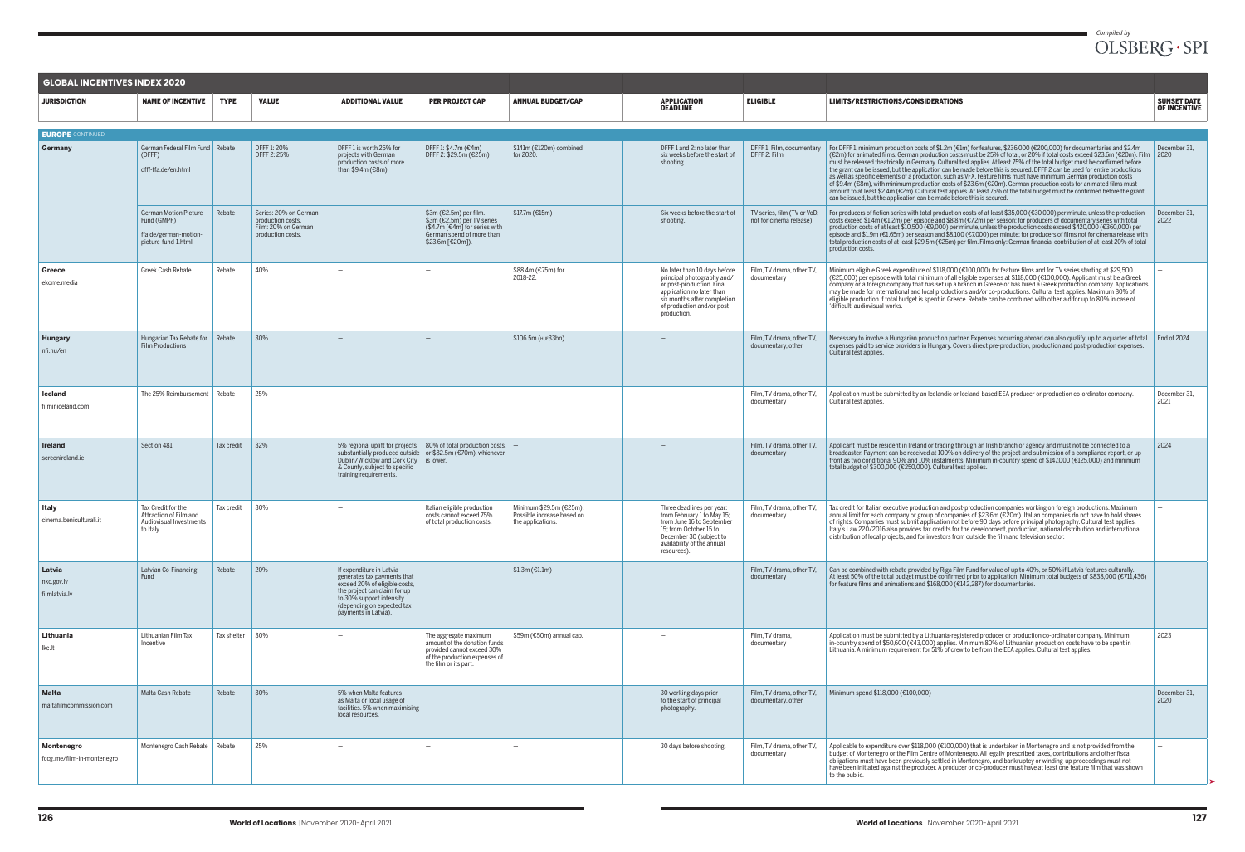|                                          | <b>GLOBAL INCENTIVES INDEX 2020</b>                                                         |             |                                                                                        |                                                                                                                                                                                                                                        |                                                                                                                                               |                                                                            |                                                                                                                                                                                                  |                                                        |                                                                                                                                                                                                                                                                                                                                                                                                                                                                                                                                                                                                                                                                                                                                                                                                                                                                                                                                                                         |                                           |
|------------------------------------------|---------------------------------------------------------------------------------------------|-------------|----------------------------------------------------------------------------------------|----------------------------------------------------------------------------------------------------------------------------------------------------------------------------------------------------------------------------------------|-----------------------------------------------------------------------------------------------------------------------------------------------|----------------------------------------------------------------------------|--------------------------------------------------------------------------------------------------------------------------------------------------------------------------------------------------|--------------------------------------------------------|-------------------------------------------------------------------------------------------------------------------------------------------------------------------------------------------------------------------------------------------------------------------------------------------------------------------------------------------------------------------------------------------------------------------------------------------------------------------------------------------------------------------------------------------------------------------------------------------------------------------------------------------------------------------------------------------------------------------------------------------------------------------------------------------------------------------------------------------------------------------------------------------------------------------------------------------------------------------------|-------------------------------------------|
| <b>JURISDICTION</b>                      | <b>NAME OF INCENTIVE</b>                                                                    | <b>TYPE</b> | <b>VALUE</b>                                                                           | <b>ADDITIONAL VALUE</b>                                                                                                                                                                                                                | <b>PER PROJECT CAP</b>                                                                                                                        | <b>ANNUAL BUDGET/CAP</b>                                                   | <b>APPLICATION</b><br><b>DEADLINE</b>                                                                                                                                                            | <b>ELIGIBLE</b>                                        | <b>LIMITS/RESTRICTIONS/CONSIDERATIONS</b>                                                                                                                                                                                                                                                                                                                                                                                                                                                                                                                                                                                                                                                                                                                                                                                                                                                                                                                               | <b>SUNSET DATE</b><br><b>OF INCENTIVE</b> |
|                                          |                                                                                             |             |                                                                                        |                                                                                                                                                                                                                                        |                                                                                                                                               |                                                                            |                                                                                                                                                                                                  |                                                        |                                                                                                                                                                                                                                                                                                                                                                                                                                                                                                                                                                                                                                                                                                                                                                                                                                                                                                                                                                         |                                           |
| <b>EUROPE</b> CONTINUED<br>Germany       | German Federal Film Fund Rebate<br>(DFFF)<br>dfff-ffa.de/en.html                            |             | DFFF 1: 20%<br>DFFF 2: 25%                                                             | DFFF1 is worth 25% for<br>projects with German<br>production costs of more<br>than \$9.4m (€8m).                                                                                                                                       | DFFF 1: \$4.7m (€4m)<br>DFFF 2: \$29.5m (€25m)                                                                                                | \$141m (€120m) combined<br>for 2020.                                       | DFFF 1 and 2: no later than<br>six weeks before the start of<br>shooting.                                                                                                                        | DFFF 1: Film, documentary<br>DFFF 2: Film              | For DFFF1, minimum production costs of \$1.2m (€1m) for features, \$236,000 (€200,000) for documentaries and \$2.4m<br>(€2m) for animated films. German production costs must be 25% of total. or 20% if total costs exceed \$23.6m (€20m). Film   2020<br>must be released theatrically in Germany. Cultural test applies. At least 75% of the total budget must be confirmed before<br>the grant can be issued, but the application can be made before this is secured. DFFF 2 can be used for entire productions<br>as well as specific elements of a production, such as VFX. Feature films must have minimum German production costs<br>of \$9.4m (€8m), with minimum production costs of \$23.6m (€20m). German production costs for animated films must<br>amount to at least \$2.4m (€2m). Cultural test applies. At least 75% of the total budget must be confirmed before the grant<br>can be issued, but the application can be made before this is secured. | December 31.                              |
|                                          | <b>German Motion Picture</b><br>Fund (GMPF)<br>ffa.de/german-motion-<br>picture-fund-1.html | Rebate      | Series: 20% on German<br>production costs.<br>Film: 20% on German<br>production costs. |                                                                                                                                                                                                                                        | \$3m (€2.5m) per film.<br>\$3m (€2.5m) per TV series<br>$($4.7m$ [ $€4m$ ] for series with<br>German spend of more than<br>\$23.6m [€20m]).   | \$17.7m (€15m)                                                             | Six weeks before the start of<br>shooting.                                                                                                                                                       | TV series, film (TV or VoD,<br>not for cinema release) | For producers of fiction series with total production costs of at least \$35,000 (€30,000) per minute, unless the production<br>costs exceed \$1.4m (€1.2m) per episode and \$8.8m (€7.2m) per season; for producers of documentary series with total<br>production costs of at least \$10,500 (€9,000) per minute, unless the production costs exceed \$420,000 (€360,000) per<br>episode and \$1.9m (€1.65m) per season and \$8,100 (€7,000) per minute; for producers of films not for cinema release with<br>total production costs of at least \$29.5m (€25m) per film. Films only: German financial contribution of at least 20% of total<br>production costs.                                                                                                                                                                                                                                                                                                    | December 31,<br>2022                      |
| Greece<br>ekome.media                    | Greek Cash Rebate                                                                           | Rebate      | 40%                                                                                    |                                                                                                                                                                                                                                        |                                                                                                                                               | \$88.4m (€75m) for<br>2018-22.                                             | No later than 10 days before<br>principal photography and/<br>or post-production. Final<br>application no later than<br>six months after completion<br>of production and/or post-<br>production. | Film, TV drama, other TV,<br>documentary               | Minimum eligible Greek expenditure of \$118,000 (€100,000) for feature films and for TV series starting at \$29,500<br>(€25,000) per episode with total minimum of all eligible expenses at \$118,000 (€100,000). Applicant must be a Greek<br>company or a foreign company that has set up a branch in Greece or has hired a Greek production company. Applications<br>may be made for international and local productions and/or co-productions. Cultural test applies. Maximum 80% of<br>eligible production if total budget is spent in Greece. Rebate can be combined with other aid for up to 80% in case of<br>'difficult' audiovisual works.                                                                                                                                                                                                                                                                                                                    |                                           |
| <b>Hungary</b><br>nfi.hu/en              | Hungarian Tax Rebate for Rebate<br>Film Productions                                         |             | 30%                                                                                    |                                                                                                                                                                                                                                        |                                                                                                                                               | \$106.5m (HUF33bn).                                                        |                                                                                                                                                                                                  | Film, TV drama, other TV,<br>documentary, other        | Necessary to involve a Hungarian production partner. Expenses occurring abroad can also qualify, up to a quarter of total<br>expenses paid to service providers in Hungary. Covers direct pre-production, production and post-production expenses.<br>Cultural test applies.                                                                                                                                                                                                                                                                                                                                                                                                                                                                                                                                                                                                                                                                                            | End of 2024                               |
| <b>Iceland</b><br>filminiceland.com      | The 25% Reimbursement                                                                       | Rebate      | 25%                                                                                    |                                                                                                                                                                                                                                        |                                                                                                                                               |                                                                            |                                                                                                                                                                                                  | Film, TV drama, other TV,<br>documentary               | Application must be submitted by an Icelandic or Iceland-based EEA producer or production co-ordinator company.<br>Cultural test applies.                                                                                                                                                                                                                                                                                                                                                                                                                                                                                                                                                                                                                                                                                                                                                                                                                               | December 31,<br>2021                      |
| Ireland<br>screenireland.ie              | Section 481                                                                                 | Tax credit  | 32%                                                                                    | 5% regional uplift for projects   80% of total production costs,<br>substantially produced outside or \$82.5m (€70m), whichever<br>Dublin/Wicklow and Cork City   is lower.<br>& County, subject to specific<br>training requirements. |                                                                                                                                               |                                                                            |                                                                                                                                                                                                  | Film, TV drama, other TV,<br>documentary               | Applicant must be resident in Ireland or trading through an Irish branch or agency and must not be connected to a<br>broadcaster. Payment can be received at 100% on delivery of the project and submission of a compliance report, or up<br>front as two conditional 90% and 10% instalments. Minimum in-country spend of \$147,000 (€125,000) and minimum<br>total budget of \$300,000 (€250,000). Cultural test applies.                                                                                                                                                                                                                                                                                                                                                                                                                                                                                                                                             | 2024                                      |
| Italy<br>cinema.beniculturali.it         | Tax Credit for the<br>Attraction of Film and<br>Audiovisual Investments<br>to Italy         | Tax credit  | 30%                                                                                    |                                                                                                                                                                                                                                        | Italian eligible production<br>costs cannot exceed 75%<br>of total production costs.                                                          | Minimum \$29.5m (€25m).<br>Possible increase based on<br>the applications. | Three deadlines per year:<br>from February 1 to May 15;<br>from June 16 to September<br>15: from October 15 to<br>December 30 (subject to<br>availability of the annual<br>resources).           | Film, TV drama, other TV,<br>documentary               | Tax credit for Italian executive production and post-production companies working on foreign productions. Maximum<br>annual limit for each company or group of companies of \$23.6m (€20m). Italian companies do not have to hold shares<br>of rights. Companies must submit application not before 90 days before principal photography. Cultural test applies.<br>Italy's Law 220/2016 also provides tax credits for the development, production, national distribution and international<br>distribution of local projects, and for investors from outside the film and television sector.                                                                                                                                                                                                                                                                                                                                                                           |                                           |
| Latvia<br>nkc.gov.lv<br>filmlatvia.lv    | Latvian Co-Financing<br>Fund                                                                | Rebate      | 20%                                                                                    | If expenditure in Latvia<br>generates tax payments that<br>exceed 20% of eligible costs,<br>the project can claim for up<br>to 30% support intensity<br>(depending on expected tax<br>payments in Latvia).                             |                                                                                                                                               | $$1.3m$ (€1.1m)                                                            |                                                                                                                                                                                                  | Film, TV drama, other TV,<br>documentary               | Can be combined with rebate provided by Riga Film Fund for value of up to 40%, or 50% if Latvia features culturally.<br>At least 50% of the total budget must be confirmed prior to application. Minimum total budgets of \$838,000 (€711,436)<br>for feature films and animations and \$168,000 (€142,287) for documentaries.                                                                                                                                                                                                                                                                                                                                                                                                                                                                                                                                                                                                                                          |                                           |
| Lithuania<br>lkc.lt                      | Lithuanian Film Tax<br>Incentive                                                            | Tax shelter | 30%                                                                                    |                                                                                                                                                                                                                                        | The aggregate maximum<br>amount of the donation funds<br>provided cannot exceed 30%<br>of the production expenses of<br>the film or its part. | \$59m (€50m) annual cap.                                                   |                                                                                                                                                                                                  | Film, TV drama,<br>documentary                         | Application must be submitted by a Lithuania-registered producer or production co-ordinator company. Minimum<br>in-country spend of \$50,600 (€43,000) applies. Minimum 80% of Lithuanian production costs have to be spent in<br>Lithuania. A minimum requirement for 51% of crew to be from the EEA applies. Cultural test applies.                                                                                                                                                                                                                                                                                                                                                                                                                                                                                                                                                                                                                                   | 2023                                      |
| Malta<br>maltafilmcommission.com         | Malta Cash Rebate                                                                           | Rebate      | 30%                                                                                    | 5% when Malta features<br>as Malta or local usage of<br>facilities. 5% when maximising<br>local resources.                                                                                                                             |                                                                                                                                               |                                                                            | 30 working days prior<br>to the start of principal<br>photography.                                                                                                                               | Film, TV drama, other TV,<br>documentary, other        | Minimum spend \$118,000 (€100,000)                                                                                                                                                                                                                                                                                                                                                                                                                                                                                                                                                                                                                                                                                                                                                                                                                                                                                                                                      | December 31,<br>2020                      |
| Montenegro<br>fccg.me/film-in-montenegro | Montenegro Cash Rebate   Rebate                                                             |             | 25%                                                                                    |                                                                                                                                                                                                                                        |                                                                                                                                               |                                                                            | 30 days before shooting.                                                                                                                                                                         | Film, TV drama, other TV,<br>documentary               | Applicable to expenditure over \$118,000 (€100,000) that is undertaken in Montenegro and is not provided from the<br>budget of Montenegro or the Film Centre of Montenegro. All legally prescribed taxes, contributions and other fiscal<br>obligations must have been previously settled in Montenegro, and bankruptcy or winding-up proceedings must not<br>have been initiated against the producer. A producer or co-producer must have at least one feature film that was shown<br>to the public.                                                                                                                                                                                                                                                                                                                                                                                                                                                                  |                                           |

 $\blacksquare$ 

➤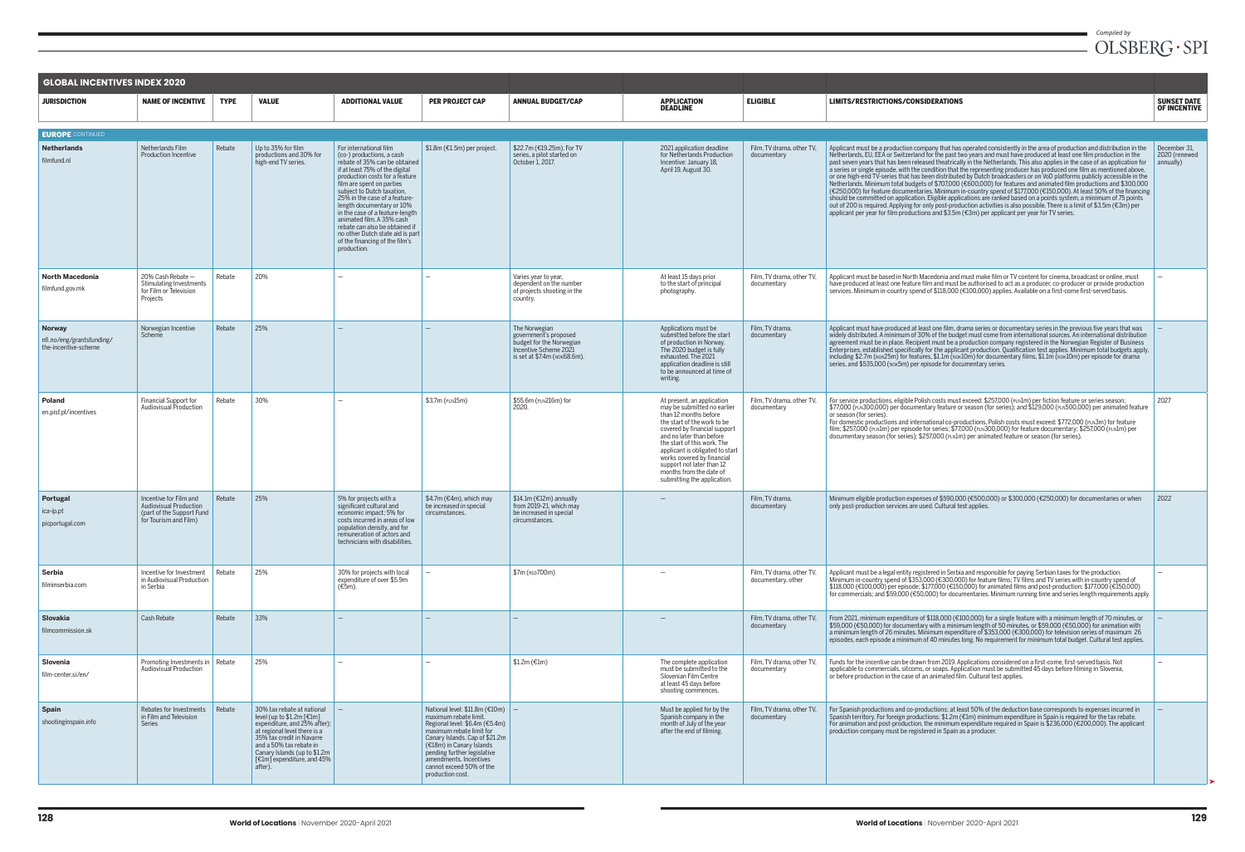| <b>GLOBAL INCENTIVES INDEX 2020</b>                                |                                                                                                               |             |                                                                                                                                                                                                                                                          |                                                                                                                                                                                                                                                                                                                                                                                                                                                                          |                                                                                                                                                                                                                                                                                                   |                                                                                                                             |                                                                                                                                                                                                                                                                                                                                                                      |                                                 |
|--------------------------------------------------------------------|---------------------------------------------------------------------------------------------------------------|-------------|----------------------------------------------------------------------------------------------------------------------------------------------------------------------------------------------------------------------------------------------------------|--------------------------------------------------------------------------------------------------------------------------------------------------------------------------------------------------------------------------------------------------------------------------------------------------------------------------------------------------------------------------------------------------------------------------------------------------------------------------|---------------------------------------------------------------------------------------------------------------------------------------------------------------------------------------------------------------------------------------------------------------------------------------------------|-----------------------------------------------------------------------------------------------------------------------------|----------------------------------------------------------------------------------------------------------------------------------------------------------------------------------------------------------------------------------------------------------------------------------------------------------------------------------------------------------------------|-------------------------------------------------|
| <b>JURISDICTION</b>                                                | <b>NAME OF INCENTIVE</b>                                                                                      | <b>TYPE</b> | <b>VALUE</b>                                                                                                                                                                                                                                             | <b>ADDITIONAL VALUE</b>                                                                                                                                                                                                                                                                                                                                                                                                                                                  | <b>PER PROJECT CAP</b>                                                                                                                                                                                                                                                                            | <b>ANNUAL BUDGET/CAP</b>                                                                                                    | <b>APPLICATION</b><br><b>DEADLINE</b>                                                                                                                                                                                                                                                                                                                                | <b>ELIGIBLE</b>                                 |
| <b>EUROPE</b> CONTINUED                                            |                                                                                                               |             |                                                                                                                                                                                                                                                          |                                                                                                                                                                                                                                                                                                                                                                                                                                                                          |                                                                                                                                                                                                                                                                                                   |                                                                                                                             |                                                                                                                                                                                                                                                                                                                                                                      |                                                 |
| <b>Netherlands</b><br>filmfund.nl                                  | Netherlands Film<br><b>Production Incentive</b>                                                               | Rebate      | Up to 35% for film<br>productions and 30% for<br>high-end TV series.                                                                                                                                                                                     | For international film<br>(co-) productions, a cash<br>rebate of 35% can be obtained<br>if at least 75% of the digital<br>production costs for a feature<br>film are spent on parties<br>subject to Dutch taxation,<br>25% in the case of a feature-<br>length documentary or 10%<br>in the case of a feature-length<br>animated film. A 35% cash<br>rebate can also be obtained if<br>no other Dutch state aid is part<br>of the financing of the film's<br>production. | \$1.8m (€1.5m) per project.                                                                                                                                                                                                                                                                       | \$22.7m (€19.25m). For TV<br>series, a pilot started on<br>October 1, 2017.                                                 | 2021 application deadline<br>for Netherlands Production<br>Incentive: January 18,<br>April 19, August 30.                                                                                                                                                                                                                                                            | Film, TV drama, other TV,<br>documentary        |
| <b>North Macedonia</b><br>filmfund.gov.mk                          | 20% Cash Rebate -<br><b>Stimulating Investments</b><br>for Film or Television<br>Projects                     | Rebate      | 20%                                                                                                                                                                                                                                                      | $\overbrace{\phantom{12322111}}$                                                                                                                                                                                                                                                                                                                                                                                                                                         | $\overline{\phantom{0}}$                                                                                                                                                                                                                                                                          | Varies year to year,<br>dependent on the number<br>of projects shooting in the<br>country.                                  | At least 15 days prior<br>to the start of principal<br>photography.                                                                                                                                                                                                                                                                                                  | Film, TV drama, other TV,<br>documentary        |
| <b>Norway</b><br>nfi.no/eng/grantsfunding/<br>the-incentive-scheme | Norwegian Incentive<br>Scheme                                                                                 | Rebate      | 25%                                                                                                                                                                                                                                                      |                                                                                                                                                                                                                                                                                                                                                                                                                                                                          | —                                                                                                                                                                                                                                                                                                 | The Norwegian<br>government's proposed<br>budget for the Norwegian<br>Incentive Scheme 2021<br>is set at \$7.4m (NOK68.6m). | Applications must be<br>submitted before the start<br>of production in Norway.<br>The 2020 budget is fully<br>exhausted. The 2021<br>application deadline is still<br>to be announced at time of<br>writing.                                                                                                                                                         | Film, TV drama,<br>documentary                  |
| <b>Poland</b><br>en.pisf.pl/incentives                             | <b>Financial Support for</b><br><b>Audiovisual Production</b>                                                 | Rebate      | 30%                                                                                                                                                                                                                                                      | $\overline{\phantom{0}}$                                                                                                                                                                                                                                                                                                                                                                                                                                                 | \$3.7m (PLN15m)                                                                                                                                                                                                                                                                                   | \$55.6m (PLN216m) for<br>2020.                                                                                              | At present, an application<br>may be submitted no earlier<br>than 12 months before<br>the start of the work to be<br>covered by financial support<br>and no later than before<br>the start of this work. The<br>applicant is obligated to start<br>works covered by financial<br>support not later than 12<br>months from the date of<br>submitting the application. | Film, TV drama, other TV,<br>documentary        |
| Portugal<br>ica-ip.pt<br>picportugal.com                           | Incentive for Film and<br><b>Audiovisual Production</b><br>(part of the Support Fund<br>for Tourism and Film) | Rebate      | 25%                                                                                                                                                                                                                                                      | 5% for projects with a<br>significant cultural and<br>economic impact; 5% for<br>costs incurred in areas of low<br>population density, and for<br>remuneration of actors and<br>technicians with disabilities.                                                                                                                                                                                                                                                           | \$4.7m (€4m), which may<br>be increased in special<br>circumstances.                                                                                                                                                                                                                              | \$14.1m (€12m) annually<br>from 2019-21, which may<br>be increased in special<br>circumstances.                             |                                                                                                                                                                                                                                                                                                                                                                      | Film, TV drama,<br>documentary                  |
| <b>Serbia</b><br>filminserbia.com                                  | Incentive for Investment<br>in Audiovisual Production<br>in Serbia                                            | Rebate      | 25%                                                                                                                                                                                                                                                      | 30% for projects with local<br>expenditure of over \$5.9m<br>$(E5m)$ .                                                                                                                                                                                                                                                                                                                                                                                                   | $\qquad \qquad -$                                                                                                                                                                                                                                                                                 | \$7m (RSD700m)                                                                                                              |                                                                                                                                                                                                                                                                                                                                                                      | Film, TV drama, other TV,<br>documentary, other |
| <b>Slovakia</b><br>filmcommission.sk                               | Cash Rebate                                                                                                   | Rebate      | 33%                                                                                                                                                                                                                                                      |                                                                                                                                                                                                                                                                                                                                                                                                                                                                          |                                                                                                                                                                                                                                                                                                   |                                                                                                                             |                                                                                                                                                                                                                                                                                                                                                                      | Film, TV drama, other TV,<br>documentary        |
| Slovenia<br>film-center.si/en/                                     | Promoting Investments in   Rebate<br><b>Audiovisual Production</b>                                            |             | 25%                                                                                                                                                                                                                                                      |                                                                                                                                                                                                                                                                                                                                                                                                                                                                          | $\overline{\phantom{0}}$                                                                                                                                                                                                                                                                          | $$1.2m$ (€1m)                                                                                                               | The complete application<br>must be submitted to the<br>Slovenian Film Centre<br>at least 45 days before<br>shooting commences.                                                                                                                                                                                                                                      | Film, TV drama, other TV,<br>documentary        |
| <b>Spain</b><br>shootinginspain.info                               | Rebates for Investments<br>in Film and Television<br><b>Series</b>                                            | Rebate      | 30% tax rebate at national<br>level (up to \$1.2m [€1m]<br>expenditure, and 25% after);<br>at regional level there is a<br>35% tax credit in Navarre<br>and a 50% tax rebate in<br>Canary Islands (up to \$1.2m<br>[€1m] expenditure, and 45%<br>after). | $\overline{\phantom{0}}$                                                                                                                                                                                                                                                                                                                                                                                                                                                 | National level: $$11.8m$ ( $$10m$ )<br>maximum rebate limit.<br>Regional level: \$6.4m (€5.4m)<br>maximum rebate limit for<br>Canary Islands. Cap of \$21.2m<br>(€18m) in Canary Islands<br>pending further legislative<br>amendments. Incentives<br>cannot exceed 50% of the<br>production cost. | $\overline{\phantom{a}}$                                                                                                    | Must be applied for by the<br>Spanish company in the<br>month of July of the year<br>after the end of filming.                                                                                                                                                                                                                                                       | Film, TV drama, other TV,<br>documentary        |

## *Compiled by*<br> $OLSBERG\cdot SPI$

|        | LIMITS/RESTRICTIONS/CONSIDERATIONS                                                                                                                                                                                                                                                                                                                                                                                                                                                                                                                                                                                                                                                                                                                                                                                                                                                                                                                                                                                                                                                                                                                                                                                                                  | <b>SUNSET DATE</b><br><b>OF INCENTIVE</b>  |
|--------|-----------------------------------------------------------------------------------------------------------------------------------------------------------------------------------------------------------------------------------------------------------------------------------------------------------------------------------------------------------------------------------------------------------------------------------------------------------------------------------------------------------------------------------------------------------------------------------------------------------------------------------------------------------------------------------------------------------------------------------------------------------------------------------------------------------------------------------------------------------------------------------------------------------------------------------------------------------------------------------------------------------------------------------------------------------------------------------------------------------------------------------------------------------------------------------------------------------------------------------------------------|--------------------------------------------|
|        |                                                                                                                                                                                                                                                                                                                                                                                                                                                                                                                                                                                                                                                                                                                                                                                                                                                                                                                                                                                                                                                                                                                                                                                                                                                     |                                            |
| r TV.  | Applicant must be a production company that has operated consistently in the area of production and distribution in the<br>Netherlands, EU, EEA or Switzerland for the past two years and must have produced at least one film production in the<br>past seven years that has been released theatrically in the Netherlands. This also applies in the case of an application for<br>a series or single episode, with the condition that the representing producer has produced one film as mentioned above,<br>or one high-end TV-series that has been distributed by Dutch broadcasters or on VoD platforms publicly accessible in the<br>Netherlands. Minimum total budgets of \$707,000 (€600,000) for features and animated film productions and \$300,000<br>(€250,000) for feature documentaries. Minimum in-country spend of \$177,000 (€150,000). At least 50% of the financing<br>should be committed on application. Eligible applications are ranked based on a points system, a minimum of 75 points<br>out of 200 is required. Applying for only post-production activities is also possible. There is a limit of \$3.5m (€3m) per<br>applicant per year for film productions and \$3.5m $(E3m)$ per applicant per year for TV series. | December 31,<br>2020 (renewed<br>annually) |
| r TV.  | Applicant must be based in North Macedonia and must make film or TV content for cinema, broadcast or online, must<br>have produced at least one feature film and must be authorised to act as a producer, co-producer or provide production<br>services. Minimum in-country spend of \$118,000 (€100,000) applies. Available on a first-come first-served basis.                                                                                                                                                                                                                                                                                                                                                                                                                                                                                                                                                                                                                                                                                                                                                                                                                                                                                    |                                            |
|        | Applicant must have produced at least one film, drama series or documentary series in the previous five years that was<br>widely distributed. A minimum of 30% of the budget must come from international sources. An international distribution<br>agreement must be in place. Recipient must be a production company registered in the Norwegian Register of Business<br>Enterprises, established specifically for the applicant production, Qualification test applies. Minimum total budgets apply,<br>including \$2.7m (NOK25m) for features, \$1.1m (NOK10m) for documentary films, \$1.1m (NOK10m) per episode for drama<br>series, and \$535,000 (NOK5m) per episode for documentary series.                                                                                                                                                                                                                                                                                                                                                                                                                                                                                                                                                |                                            |
| r TV.  | For service productions, eligible Polish costs must exceed: \$257,000 (PLN1m) per fiction feature or series season;<br>\$77,000 (PLN300,000) per documentary feature or season (for series); and \$129,000 (PLN500,000) per animated feature<br>or season (for series).<br>For domestic productions and international co-productions, Polish costs must exceed: \$772,000 (PLN3m) for feature<br>film; \$257,000 (PLN1m) per episode for series; \$77,000 (PLN300,000) for feature documentary; \$257,000 (PLN1m) per<br>documentary season (for series); \$257,000 (PLN1m) per animated feature or season (for series).                                                                                                                                                                                                                                                                                                                                                                                                                                                                                                                                                                                                                            | 2027                                       |
|        | Minimum eligible production expenses of \$590,000 (€500,000) or \$300,000 (€250,000) for documentaries or when<br>only post-production services are used. Cultural test applies.                                                                                                                                                                                                                                                                                                                                                                                                                                                                                                                                                                                                                                                                                                                                                                                                                                                                                                                                                                                                                                                                    | 2022                                       |
| r TV.  | Applicant must be a legal entity registered in Serbia and responsible for paying Serbian taxes for the production.<br>Minimum in-country spend of \$353,000 (€300,000) for feature films; TV films and TV series with in-country spend of<br>\$118,000 (€100,000) per episode; \$177,000 (€150,000) for animated films and post-production; \$177,000 (€150,000)<br>for commercials; and \$59,000 (€50,000) for documentaries. Minimum running time and series length requirements apply.                                                                                                                                                                                                                                                                                                                                                                                                                                                                                                                                                                                                                                                                                                                                                           |                                            |
| r TV.  | From 2021, minimum expenditure of \$118,000 ( $\text{\textsterling}100,000$ ) for a single feature with a minimum length of 70 minutes, or<br>\$59,000 (€50,000) for documentary with a minimum length of 50 minutes, or \$59,000 (€50,000) for animation with<br>a minimum length of 26 minutes. Minimum expenditure of \$353,000 (€300,000) for television series of maximum 26<br>episodes, each episode a minimum of 40 minutes long. No requirement for minimum total budget. Cultural test applies.                                                                                                                                                                                                                                                                                                                                                                                                                                                                                                                                                                                                                                                                                                                                           |                                            |
| r TV.  | Funds for the incentive can be drawn from 2019. Applications considered on a first-come, first-served basis. Not<br>applicable to commercials, sitcoms, or soaps. Application must be submitted 45 days before filming in Slovenia,<br>or before production in the case of an animated film. Cultural test applies.                                                                                                                                                                                                                                                                                                                                                                                                                                                                                                                                                                                                                                                                                                                                                                                                                                                                                                                                 |                                            |
| :r TV, | For Spanish productions and co-productions: at least 50% of the deduction base corresponds to expenses incurred in<br>Spanish territory. For foreign productions: \$1.2m ( $\epsilon$ 1m) minimum expenditure in Spain is required for the tax rebate.<br>For animation and post-production, the minimum expenditure required in Spain is \$236,000 ( $\epsilon$ 200,000). The applicant<br>production company must be registered in Spain as a producer.                                                                                                                                                                                                                                                                                                                                                                                                                                                                                                                                                                                                                                                                                                                                                                                           |                                            |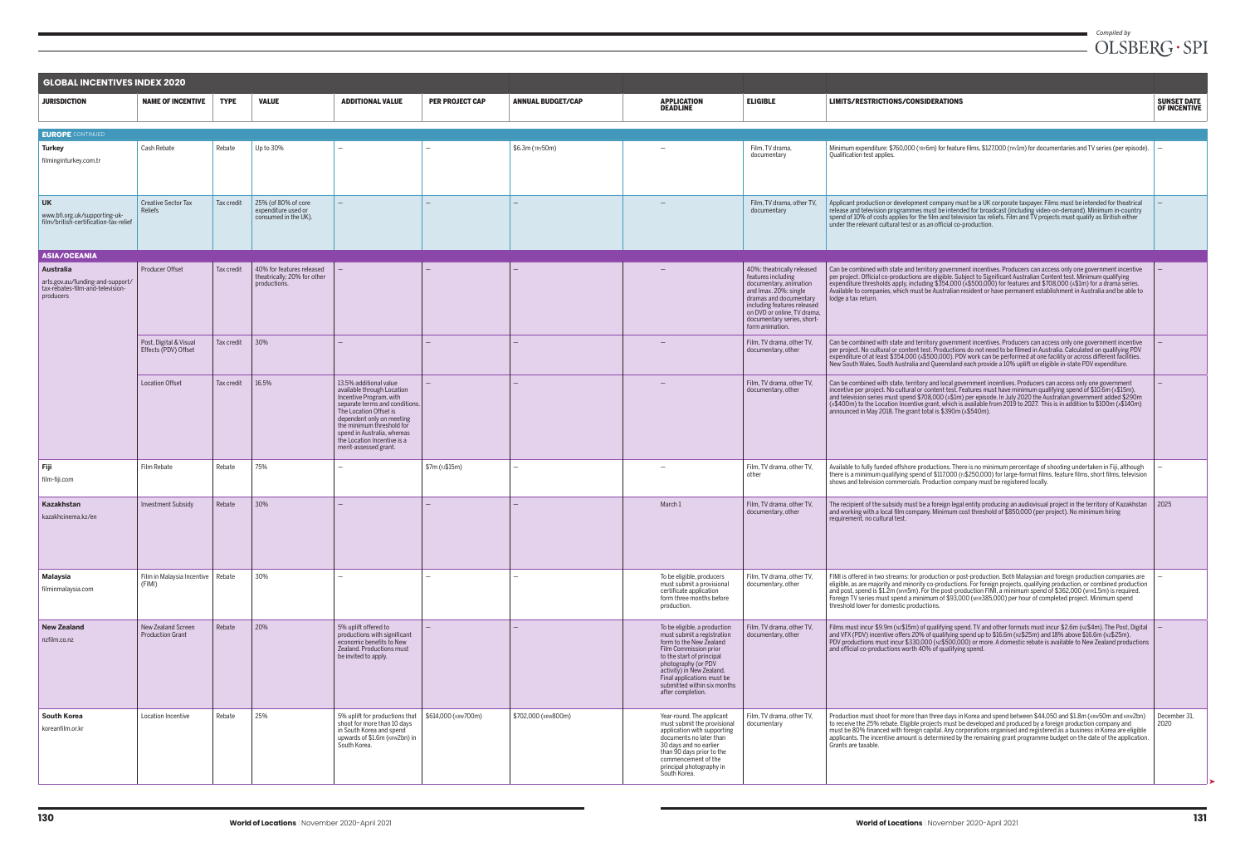| <b>GLOBAL INCENTIVES INDEX 2020</b>                                                            |                                                |             |                                                                          |                                                                                                                                                                                                                                                                                              |                          |                          |                                                                                                                                                                                                                                                                                   |                                                                                                                                                                                                                                              |
|------------------------------------------------------------------------------------------------|------------------------------------------------|-------------|--------------------------------------------------------------------------|----------------------------------------------------------------------------------------------------------------------------------------------------------------------------------------------------------------------------------------------------------------------------------------------|--------------------------|--------------------------|-----------------------------------------------------------------------------------------------------------------------------------------------------------------------------------------------------------------------------------------------------------------------------------|----------------------------------------------------------------------------------------------------------------------------------------------------------------------------------------------------------------------------------------------|
| <b>JURISDICTION</b>                                                                            | <b>NAME OF INCENTIVE</b>                       | <b>TYPE</b> | <b>VALUE</b>                                                             | <b>ADDITIONAL VALUE</b>                                                                                                                                                                                                                                                                      | <b>PER PROJECT CAP</b>   | <b>ANNUAL BUDGET/CAP</b> | <b>APPLICATION</b><br><b>DEADLINE</b>                                                                                                                                                                                                                                             | <b>ELIGIBLE</b>                                                                                                                                                                                                                              |
| <b>EUROPE</b> CONTINUED                                                                        |                                                |             |                                                                          |                                                                                                                                                                                                                                                                                              |                          |                          |                                                                                                                                                                                                                                                                                   |                                                                                                                                                                                                                                              |
| <b>Turkey</b><br>filminginturkey.com.tr                                                        | Cash Rebate                                    | Rebate      | Up to 30%                                                                | $\overline{\phantom{0}}$                                                                                                                                                                                                                                                                     |                          | \$6.3m (TRY50m)          |                                                                                                                                                                                                                                                                                   | Film, TV drama,<br>documentary                                                                                                                                                                                                               |
| <b>UK</b><br>www.bfi.org.uk/supporting-uk-<br>film/british-certification-tax-relief            | Creative Sector Tax<br>Reliefs                 | Tax credit  | 25% (of 80% of core<br>expenditure used or<br>consumed in the UK).       | $\qquad \qquad -$                                                                                                                                                                                                                                                                            | $\overline{\phantom{m}}$ |                          | $\overline{\phantom{m}}$                                                                                                                                                                                                                                                          | Film, TV drama, other TV,<br>documentary                                                                                                                                                                                                     |
| <b>ASIA/OCEANIA</b>                                                                            |                                                |             |                                                                          |                                                                                                                                                                                                                                                                                              |                          |                          |                                                                                                                                                                                                                                                                                   |                                                                                                                                                                                                                                              |
| Australia<br>arts.gov.au/funding-and-support/<br>tax-rebates-film-and-television-<br>producers | <b>Producer Offset</b>                         | Tax credit  | 40% for features released<br>theatrically; 20% for other<br>productions. | $\overline{\phantom{0}}$                                                                                                                                                                                                                                                                     |                          |                          |                                                                                                                                                                                                                                                                                   | 40%: theatrically released<br>features including<br>documentary, animation<br>and Imax. 20%: single<br>dramas and documentary<br>including features released<br>on DVD or online, TV drama,<br>documentary series, short-<br>form animation. |
|                                                                                                | Post, Digital & Visual<br>Effects (PDV) Offset | Tax credit  | 30%                                                                      |                                                                                                                                                                                                                                                                                              | $\overline{\phantom{0}}$ |                          |                                                                                                                                                                                                                                                                                   | Film, TV drama, other TV,<br>documentary, other                                                                                                                                                                                              |
|                                                                                                | <b>Location Offset</b>                         | Tax credit  | 16.5%                                                                    | 13.5% additional value<br>available through Location<br>Incentive Program, with<br>separate terms and conditions.<br>The Location Offset is<br>dependent only on meeting<br>the minimum threshold for<br>spend in Australia, whereas<br>the Location Incentive is a<br>merit-assessed grant. | $\qquad \qquad -$        |                          |                                                                                                                                                                                                                                                                                   | Film, TV drama, other TV,<br>documentary, other                                                                                                                                                                                              |
| Fiji<br>film-fiji.com                                                                          | Film Rebate                                    | Rebate      | 75%                                                                      |                                                                                                                                                                                                                                                                                              | \$7m (FJ\$15m)           |                          |                                                                                                                                                                                                                                                                                   | Film, TV drama, other TV,<br>other                                                                                                                                                                                                           |
| Kazakhstan<br>kazakhcinema.kz/en                                                               | <b>Investment Subsidy</b>                      | Rebate      | 30%                                                                      | $\overline{\phantom{0}}$                                                                                                                                                                                                                                                                     |                          |                          | March 1                                                                                                                                                                                                                                                                           | Film. TV drama, other TV.<br>documentary, other                                                                                                                                                                                              |
| <b>Malaysia</b><br>filminmalaysia.com                                                          | Film in Malaysia Incentive   Rebate<br>(FIMI)  |             | 30%                                                                      | $\overline{\phantom{0}}$                                                                                                                                                                                                                                                                     | $\overline{\phantom{0}}$ | $\overline{\phantom{0}}$ | To be eligible, producers<br>must submit a provisional<br>certificate application<br>form three months before<br>production.                                                                                                                                                      | Film. TV drama, other TV.<br>documentary, other                                                                                                                                                                                              |
| <b>New Zealand</b><br>nzfilm.co.nz                                                             | New Zealand Screen<br><b>Production Grant</b>  | Rebate      | 20%                                                                      | 5% uplift offered to<br>productions with significant<br>economic benefits to New<br>Zealand. Productions must<br>be invited to apply.                                                                                                                                                        | $\overline{\phantom{m}}$ |                          | To be eligible, a production<br>must submit a registration<br>form to the New Zealand<br>Film Commission prior<br>to the start of principal<br>photography (or PDV<br>activity) in New Zealand.<br>Final applications must be<br>submitted within six months<br>after completion. | Film, TV drama, other TV,<br>documentary, other                                                                                                                                                                                              |
| <b>South Korea</b><br>koreanfilm.or.kr                                                         | Location Incentive                             | Rebate      | 25%                                                                      | 5% uplift for productions that<br>shoot for more than 10 days<br>in South Korea and spend<br>upwards of \$1.6m (KRW2bn) in<br>South Korea.                                                                                                                                                   | \$614,000 (KRW700m)      | \$702,000 (KRW800m)      | Year-round. The applicant<br>must submit the provisional<br>application with supporting<br>documents no later than<br>30 days and no earlier<br>than 90 days prior to the<br>commencement of the<br>principal photography in<br>South Korea.                                      | Film, TV drama, other TV,<br>documentary                                                                                                                                                                                                     |

| ELIGIBLE                                                                                                                                                                                                                                     | LIMITS/RESTRICTIONS/CONSIDERATIONS                                                                                                                                                                                                                                                                                                                                                                                                                                                                                                                        | <b>SUNSET DATE</b><br><b>OF INCENTIVE</b> |
|----------------------------------------------------------------------------------------------------------------------------------------------------------------------------------------------------------------------------------------------|-----------------------------------------------------------------------------------------------------------------------------------------------------------------------------------------------------------------------------------------------------------------------------------------------------------------------------------------------------------------------------------------------------------------------------------------------------------------------------------------------------------------------------------------------------------|-------------------------------------------|
|                                                                                                                                                                                                                                              |                                                                                                                                                                                                                                                                                                                                                                                                                                                                                                                                                           |                                           |
| Film, TV drama,<br>documentary                                                                                                                                                                                                               | Minimum expenditure: \$760,000 (TRY6m) for feature films, \$127,000 (TRY1m) for documentaries and TV series (per episode).<br>Qualification test applies.                                                                                                                                                                                                                                                                                                                                                                                                 |                                           |
| Film, TV drama, other TV,<br>documentary                                                                                                                                                                                                     | Applicant production or development company must be a UK corporate taxpayer. Films must be intended for theatrical<br>release and television programmes must be intended for broadcast (including video-on-demand). Minimum in-country<br>spend of 10% of costs applies for the film and television tax reliefs. Film and TV projects must qualify as British either<br>under the relevant cultural test or as an official co-production.                                                                                                                 |                                           |
|                                                                                                                                                                                                                                              |                                                                                                                                                                                                                                                                                                                                                                                                                                                                                                                                                           |                                           |
| 40%: theatrically released<br>features including<br>documentary, animation<br>and Imax. 20%: single<br>dramas and documentary<br>including features released<br>on DVD or online, TV drama,<br>documentary series, short-<br>form animation. | Can be combined with state and territory government incentives. Producers can access only one government incentive<br>per project. Official co-productions are eligible. Subject to Significant Australian Content test. Minimum qualifying<br>expenditure thresholds apply, including \$354,000 (A\$500,000) for features and \$708,000 (A\$1m) for a drama series.<br>Available to companies, which must be Australian resident or have permanent establishment in Australia and be able to<br>lodge a tax return.                                      |                                           |
| Film, TV drama, other TV,<br>documentary, other                                                                                                                                                                                              | Can be combined with state and territory government incentives. Producers can access only one government incentive<br>per project. No cultural or content test. Productions do not need to be filmed in Australia. Calculated on qualifying PDV<br>expenditure of at least \$354,000 (A\$500,000). PDV work can be performed at one facility or across different facilities.<br>New South Wales, South Australia and Queensland each provide a 10% uplift on eligible in-state PDV expenditure.                                                           |                                           |
| Film, TV drama, other TV,<br>documentary, other                                                                                                                                                                                              | Can be combined with state, territory and local government incentives. Producers can access only one government<br>incentive per project. No cultural or content test. Features must have minimum qualifying spend of \$10.6m (4\$15m),<br>and television series must spend \$708,000 (A\$1m) per episode. In July 2020 the Australian government added \$290m<br>(A\$400m) to the Location Incentive grant, which is available from 2019 to 2027. This is in addition to \$100m (A\$140m)<br>announced in May 2018. The grant total is \$390m (A\$540m). |                                           |
| Film, TV drama, other TV,<br>other                                                                                                                                                                                                           | Available to fully funded offshore productions. There is no minimum percentage of shooting undertaken in Fiji, although<br>there is a minimum qualifying spend of \$117,000 ( $\mu$ \$250,000) for large-format films, feature films, short films, television<br>shows and television commercials. Production company must be registered locally.                                                                                                                                                                                                         |                                           |
| Film, TV drama, other TV,<br>documentary, other                                                                                                                                                                                              | The recipient of the subsidy must be a foreign legal entity producing an audiovisual project in the territory of Kazakhstan<br>and working with a local film company. Minimum cost threshold of \$850,000 (per project). No minimum hiring<br>requirement, no cultural test.                                                                                                                                                                                                                                                                              | 2025                                      |
| Film, TV drama, other TV,<br>documentary, other                                                                                                                                                                                              | FIMI is offered in two streams: for production or post-production. Both Malaysian and foreign production companies are<br>eligible, as are majority and minority co-productions. For foreign projects, qualifying production, or combined production<br>and post, spend is \$1.2m (MYR5m). For the post-production FIMI, a minimum spend of \$362,000 (MYR1.5m) is required.<br>Foreign TV series must spend a minimum of \$93,000 (MYR385,000) per hour of completed project. Minimum spend<br>threshold lower for domestic productions.                 |                                           |
| Film, TV drama, other TV,<br>documentary, other                                                                                                                                                                                              | Films must incur \$9.9m (Nz\$15m) of qualifying spend. TV and other formats must incur \$2.6m (Nz\$4m). The Post, Digital<br>and VFX (PDV) incentive offers 20% of qualifying spend up to \$16.6m (Nz\$25m) and 18% above \$16.6m (Nz\$25m).<br>PDV productions must incur \$330,000 (Nz\$500,000) or more. A domestic rebate is available to New Zealand productions<br>and official co-productions worth 40% of qualifying spend.                                                                                                                       |                                           |
| Film, TV drama, other TV,<br>documentary                                                                                                                                                                                                     | Production must shoot for more than three days in Korea and spend between \$44,050 and \$1.8m (KRW50m and KRW2bn)<br>to receive the 25% rebate. Eligible projects must be developed and produced by a foreign production company and<br>must be 80% financed with foreign capital. Any corporations organised and registered as a business in Korea are eligible<br>applicants. The incentive amount is determined by the remaining grant programme budget on the date of the application.<br>Grants are taxable.                                         | December 31,<br>2020                      |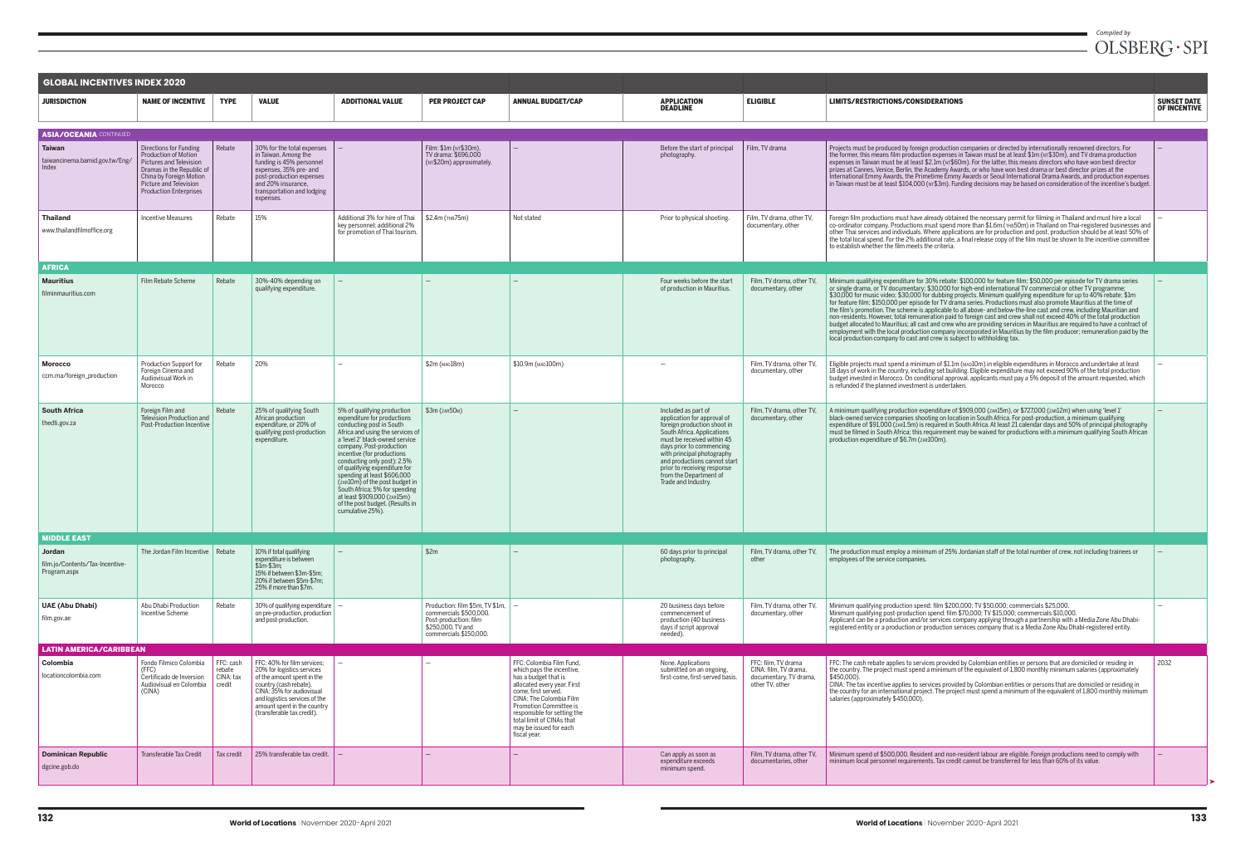| <b>GLOBAL INCENTIVES INDEX 2020</b>                              |                                                                                                                                                                                                     |                                            |                                                                                                                                                                                                                                              |                                                                                                                                                                                                                                                                                                                                                                                                                                                                                  |                                                                                                                                                 |                                                                                                                                                                                                                                                                                                |                                                                                                                                                                                                                                                                                                                         |                                                                                           |
|------------------------------------------------------------------|-----------------------------------------------------------------------------------------------------------------------------------------------------------------------------------------------------|--------------------------------------------|----------------------------------------------------------------------------------------------------------------------------------------------------------------------------------------------------------------------------------------------|----------------------------------------------------------------------------------------------------------------------------------------------------------------------------------------------------------------------------------------------------------------------------------------------------------------------------------------------------------------------------------------------------------------------------------------------------------------------------------|-------------------------------------------------------------------------------------------------------------------------------------------------|------------------------------------------------------------------------------------------------------------------------------------------------------------------------------------------------------------------------------------------------------------------------------------------------|-------------------------------------------------------------------------------------------------------------------------------------------------------------------------------------------------------------------------------------------------------------------------------------------------------------------------|-------------------------------------------------------------------------------------------|
| <b>JURISDICTION</b>                                              | <b>NAME OF INCENTIVE</b>                                                                                                                                                                            | <b>TYPE</b>                                | <b>VALUE</b>                                                                                                                                                                                                                                 | <b>ADDITIONAL VALUE</b>                                                                                                                                                                                                                                                                                                                                                                                                                                                          | <b>PER PROJECT CAP</b>                                                                                                                          | <b>ANNUAL BUDGET/CAP</b>                                                                                                                                                                                                                                                                       | <b>APPLICATION</b><br><b>DEADLINE</b>                                                                                                                                                                                                                                                                                   | <b>ELIGIBLE</b>                                                                           |
| <b>ASIA/OCEANIA CONTINUED</b>                                    |                                                                                                                                                                                                     |                                            |                                                                                                                                                                                                                                              |                                                                                                                                                                                                                                                                                                                                                                                                                                                                                  |                                                                                                                                                 |                                                                                                                                                                                                                                                                                                |                                                                                                                                                                                                                                                                                                                         |                                                                                           |
| <b>Taiwan</b><br>taiwancinema.bamid.gov.tw/Eng/<br>Index         | <b>Directions for Funding</b><br>Production of Motion<br>Pictures and Television<br>Dramas in the Republic of<br>China by Foreign Motion<br>Picture and Television<br><b>Production Enterprises</b> | Rebate                                     | 30% for the total expenses<br>in Taiwan. Among the<br>funding is 45% personnel<br>expenses, 35% pre- and<br>post-production expenses<br>and 20% insurance.<br>transportation and lodging<br>expenses.                                        | $\overline{\phantom{0}}$                                                                                                                                                                                                                                                                                                                                                                                                                                                         | Film: \$1m (NT\$30m).<br>TV drama: \$696,000<br>(NT\$20m) approximately.                                                                        | $\overline{\phantom{0}}$                                                                                                                                                                                                                                                                       | Before the start of principal<br>photography.                                                                                                                                                                                                                                                                           | Film, TV drama                                                                            |
| <b>Thailand</b><br>www.thailandfilmoffice.org                    | <b>Incentive Measures</b>                                                                                                                                                                           | Rebate                                     | 15%                                                                                                                                                                                                                                          | Additional 3% for hire of Thai<br>key personnel; additional 2%<br>for promotion of Thai tourism.                                                                                                                                                                                                                                                                                                                                                                                 | \$2.4m (THB75m)                                                                                                                                 | Not stated                                                                                                                                                                                                                                                                                     | Prior to physical shooting.                                                                                                                                                                                                                                                                                             | Film, TV drama, other TV,<br>documentary, other                                           |
| <b>AFRICA</b>                                                    |                                                                                                                                                                                                     |                                            |                                                                                                                                                                                                                                              |                                                                                                                                                                                                                                                                                                                                                                                                                                                                                  |                                                                                                                                                 |                                                                                                                                                                                                                                                                                                |                                                                                                                                                                                                                                                                                                                         |                                                                                           |
| <b>Mauritius</b><br>filminmauritius.com                          | Film Rebate Scheme                                                                                                                                                                                  | Rebate                                     | 30%-40% depending on<br>qualifying expenditure.                                                                                                                                                                                              | $-$                                                                                                                                                                                                                                                                                                                                                                                                                                                                              | $\qquad \qquad -$                                                                                                                               | $\qquad \qquad -$                                                                                                                                                                                                                                                                              | Four weeks before the start<br>of production in Mauritius.                                                                                                                                                                                                                                                              | Film, TV drama, other TV,<br>documentary, other                                           |
| <b>Morocco</b><br>ccm.ma/foreign_production                      | Production Support for<br>Foreign Cinema and<br>Audiovisual Work in<br>Morocco                                                                                                                      | Rebate                                     | 20%                                                                                                                                                                                                                                          |                                                                                                                                                                                                                                                                                                                                                                                                                                                                                  | \$2m (MAD18m)                                                                                                                                   | \$10.9m (MAD100m)                                                                                                                                                                                                                                                                              |                                                                                                                                                                                                                                                                                                                         | Film, TV drama, other TV,<br>documentary, other                                           |
| <b>South Africa</b><br>thedti.gov.za                             | Foreign Film and<br>Television Production and<br>Post-Production Incentive                                                                                                                          | Rebate                                     | 25% of qualifying South<br>African production<br>expenditure, or 20% of<br>qualifying post-production<br>expenditure.                                                                                                                        | 5% of qualifying production<br>expenditure for productions<br>conducting post in South<br>Africa and using the services of<br>a 'level 2' black-owned service<br>company. Post-production<br>incentive (for productions<br>conducting only post): 2.5%<br>of qualifying expenditure for<br>spending at least \$606,000<br>(ZAR10m) of the post budget in<br>South Africa; 5% for spending<br>at least \$909,000 (zar.15m)<br>of the post budget. (Results in<br>cumulative 25%). | $$3m$ ( $zAR50M$ )                                                                                                                              |                                                                                                                                                                                                                                                                                                | Included as part of<br>application for approval of<br>foreign production shoot in<br>South Africa. Applications<br>must be received within 45<br>days prior to commencing<br>with principal photography<br>and productions cannot start<br>prior to receiving response<br>from the Department of<br>Trade and Industry. | Film. TV drama, other TV.<br>documentary, other                                           |
| <b>MIDDLE EAST</b>                                               |                                                                                                                                                                                                     |                                            |                                                                                                                                                                                                                                              |                                                                                                                                                                                                                                                                                                                                                                                                                                                                                  |                                                                                                                                                 |                                                                                                                                                                                                                                                                                                |                                                                                                                                                                                                                                                                                                                         |                                                                                           |
| <b>Jordan</b><br>film.jo/Contents/Tax-Incentive-<br>Program.aspx | The Jordan Film Incentive                                                                                                                                                                           | Rebate                                     | 10% if total qualifying<br>expenditure is between<br>$$1m-$3m$<br>15% if between \$3m-\$5m;<br>20% if between \$5m-\$7m;<br>25% if more than \$7m.                                                                                           |                                                                                                                                                                                                                                                                                                                                                                                                                                                                                  | \$2m                                                                                                                                            |                                                                                                                                                                                                                                                                                                | 60 days prior to principal<br>photography.                                                                                                                                                                                                                                                                              | Film, TV drama, other TV,<br>other                                                        |
| <b>UAE (Abu Dhabi)</b><br>film.gov.ae                            | Abu Dhabi Production<br><b>Incentive Scheme</b>                                                                                                                                                     | Rebate                                     | 30% of qualifying expenditure<br>on pre-production, production<br>and post-production.                                                                                                                                                       | $\overline{\phantom{0}}$                                                                                                                                                                                                                                                                                                                                                                                                                                                         | Production: film $$5m$ , TV $$1m$ , $\vert -$<br>commercials \$500,000.<br>Post-production: film<br>\$250,000, TV and<br>commercials \$150,000. |                                                                                                                                                                                                                                                                                                | 20 business days before<br>commencement of<br>production (40 business<br>days if script approval<br>needed).                                                                                                                                                                                                            | Film, TV drama, other TV,<br>documentary, other                                           |
| <b>LATIN AMERICA/CARIBBEAN</b>                                   |                                                                                                                                                                                                     |                                            |                                                                                                                                                                                                                                              |                                                                                                                                                                                                                                                                                                                                                                                                                                                                                  |                                                                                                                                                 |                                                                                                                                                                                                                                                                                                |                                                                                                                                                                                                                                                                                                                         |                                                                                           |
| Colombia<br>locationcolombia.com                                 | Fondo Filmico Colombia<br>(FFC)<br>Certificado de Inversion<br>Audiovisual en Colombia<br>(CINA)                                                                                                    | FFC: cash<br>rebate<br>CINA: tax<br>credit | FFC: 40% for film services;<br>20% for logistics services<br>of the amount spent in the<br>country (cash rebate).<br>CINA: 35% for audiovisual<br>and logistics services of the<br>amount spent in the country<br>(transferable tax credit). | $\qquad \qquad -$                                                                                                                                                                                                                                                                                                                                                                                                                                                                |                                                                                                                                                 | FFC: Colombia Film Fund,<br>which pays the incentive,<br>has a budget that is<br>allocated every year. First<br>come, first served.<br>CINA: The Colombia Film<br>Promotion Committee is<br>responsible for setting the<br>total limit of CINAs that<br>may be issued for each<br>fiscal year. | None. Applications<br>submitted on an ongoing,<br>first-come, first-served basis.                                                                                                                                                                                                                                       | FFC: film, TV drama<br>CINA: film, TV drama,<br>documentary, TV drama,<br>other TV, other |
| <b>Dominican Republic</b><br>dgcine.gob.do                       | <b>Transferable Tax Credit</b>                                                                                                                                                                      | Tax credit                                 | 25% transferable tax credit.                                                                                                                                                                                                                 |                                                                                                                                                                                                                                                                                                                                                                                                                                                                                  | $\qquad \qquad -$                                                                                                                               | —                                                                                                                                                                                                                                                                                              | Can apply as soon as<br>expenditure exceeds<br>minimum spend.                                                                                                                                                                                                                                                           | Film, TV drama, other TV,<br>documentaries, other                                         |

| <b>ELIGIBLE</b>                                                                           | LIMITS/RESTRICTIONS/CONSIDERATIONS                                                                                                                                                                                                                                                                                                                                                                                                                                                                                                                                                                                                                                                                                                                                                                                                                                                                                                                                                                                                                                      | <b>SUNSET DATE</b><br><b>OF INCENTIVE</b> |
|-------------------------------------------------------------------------------------------|-------------------------------------------------------------------------------------------------------------------------------------------------------------------------------------------------------------------------------------------------------------------------------------------------------------------------------------------------------------------------------------------------------------------------------------------------------------------------------------------------------------------------------------------------------------------------------------------------------------------------------------------------------------------------------------------------------------------------------------------------------------------------------------------------------------------------------------------------------------------------------------------------------------------------------------------------------------------------------------------------------------------------------------------------------------------------|-------------------------------------------|
|                                                                                           |                                                                                                                                                                                                                                                                                                                                                                                                                                                                                                                                                                                                                                                                                                                                                                                                                                                                                                                                                                                                                                                                         |                                           |
| Film, TV drama                                                                            | Projects must be produced by foreign production companies or directed by internationally renowned directors. For<br>the former, this means film production expenses in Taiwan must be at least \$1m (NT\$30m), and TV drama production<br>expenses in Taiwan must be at least \$2.1m ( $NTS60m$ ). For the latter, this means directors who have won best director<br>prizes at Cannes, Venice, Berlin, the Academy Awards, or who have won best drama or best director prizes at the<br>International Emmy Awards, the Primetime Emmy Awards or Seoul International Drama Awards, and production expenses<br>in Taiwan must be at least \$104,000 ( $\mu$ , \$3m). Funding decisions may be based on consideration of the incentive's budget.                                                                                                                                                                                                                                                                                                                          |                                           |
| Film, TV drama, other TV,<br>documentary, other                                           | Foreign film productions must have already obtained the necessary permit for filming in Thailand and must hire a local<br>co-ordinator company. Productions must spend more than \$1.6m (тнв50m) in Thailand on Thai-registered businesses and<br>other Thai services and individuals. Where applications are for production and post, production should be at least 50% of<br>the total local spend. For the 2% additional rate, a final release copy of the film must be shown to the incentive committee<br>to establish whether the film meets the criteria.                                                                                                                                                                                                                                                                                                                                                                                                                                                                                                        |                                           |
|                                                                                           |                                                                                                                                                                                                                                                                                                                                                                                                                                                                                                                                                                                                                                                                                                                                                                                                                                                                                                                                                                                                                                                                         |                                           |
| Film, TV drama, other TV,<br>documentary, other                                           | Minimum qualifying expenditure for 30% rebate: \$100,000 for feature film; \$50,000 per episode for TV drama series<br>or single drama, or TV documentary; \$30,000 for high-end international TV commercial or other TV programme;<br>\$30,000 for music video; \$30,000 for dubbing projects. Minimum qualifying expenditure for up to 40% rebate: \$1m<br>for feature film; \$150,000 per episode for TV drama series. Productions must also promote Mauritius at the time of<br>the film's promotion. The scheme is applicable to all above- and below-the-line cast and crew, including Mauritian and<br>non-residents. However, total remuneration paid to foreign cast and crew shall not exceed 40% of the total production<br>budget allocated to Mauritius; all cast and crew who are providing services in Mauritius are required to have a contract of<br>employment with the local production company incorporated in Mauritius by the film producer; remuneration paid by the<br>local production company to cast and crew is subject to withholding tax. |                                           |
| Film, TV drama, other TV,<br>documentary, other                                           | Eligible projects must spend a minimum of \$1.1m (MAD10m) in eligible expenditures in Morocco and undertake at least<br>18 days of work in the country, including set building. Eligible expenditure may not exceed 90% of the total production<br>budget invested in Morocco. On conditional approval, applicants must pay a 5% deposit of the amount requested, which<br>is refunded if the planned investment is undertaken.                                                                                                                                                                                                                                                                                                                                                                                                                                                                                                                                                                                                                                         |                                           |
| Film, TV drama, other TV,<br>documentary, other                                           | A minimum qualifying production expenditure of \$909,000 (zAR15m), or \$727,000 (zAR12m) when using 'level 1'<br>black-owned service companies shooting on location in South Africa. For post-production, a minimum qualifying<br>expenditure of \$91,000 (zAR1.5m) is required in South Africa. At least 21 calendar days and 50% of principal photography<br>must be filmed in South Africa; this requirement may be waived for productions with a minimum qualifying South African<br>production expenditure of \$6.7m (zAR100m).                                                                                                                                                                                                                                                                                                                                                                                                                                                                                                                                    |                                           |
|                                                                                           |                                                                                                                                                                                                                                                                                                                                                                                                                                                                                                                                                                                                                                                                                                                                                                                                                                                                                                                                                                                                                                                                         |                                           |
| Film, TV drama, other TV,<br>other                                                        | The production must employ a minimum of 25% Jordanian staff of the total number of crew, not including trainees or<br>employees of the service companies.                                                                                                                                                                                                                                                                                                                                                                                                                                                                                                                                                                                                                                                                                                                                                                                                                                                                                                               |                                           |
| Film, TV drama, other TV,<br>documentary, other                                           | Minimum qualifying production spend: film \$200,000; TV \$50,000; commercials \$25,000.<br>Minimum qualifying post-production spend: film \$70,000; TV \$15,000; commercials \$10,000.<br>Applicant can be a production and/or services company applying through a partnership with a Media Zone Abu Dhabi-<br>registered entity or a production or production services company that is a Media Zone Abu Dhabi-registered entity.                                                                                                                                                                                                                                                                                                                                                                                                                                                                                                                                                                                                                                       |                                           |
|                                                                                           |                                                                                                                                                                                                                                                                                                                                                                                                                                                                                                                                                                                                                                                                                                                                                                                                                                                                                                                                                                                                                                                                         |                                           |
| FFC: film, TV drama<br>CINA: film, TV drama,<br>documentary, TV drama,<br>other TV. other | FFC: The cash rebate applies to services provided by Colombian entities or persons that are domiciled or residing in<br>the country. The project must spend a minimum of the equivalent of 1,800 monthly minimum salaries (approximately<br>\$450,000).<br>CINA: The tax incentive applies to services provided by Colombian entities or persons that are domiciled or residing in<br>the country for an international project. The project must spend a minimum of the equivalent of 1,800 monthly minimum<br>salaries (approximately \$450,000).                                                                                                                                                                                                                                                                                                                                                                                                                                                                                                                      | 2032                                      |
| Film, TV drama, other TV,<br>documentaries, other                                         | Minimum spend of \$500,000. Resident and non-resident labour are eligible. Foreign productions need to comply with<br>minimum local personnel requirements. Tax credit cannot be transferred for less than 60% of its value.                                                                                                                                                                                                                                                                                                                                                                                                                                                                                                                                                                                                                                                                                                                                                                                                                                            |                                           |
|                                                                                           |                                                                                                                                                                                                                                                                                                                                                                                                                                                                                                                                                                                                                                                                                                                                                                                                                                                                                                                                                                                                                                                                         |                                           |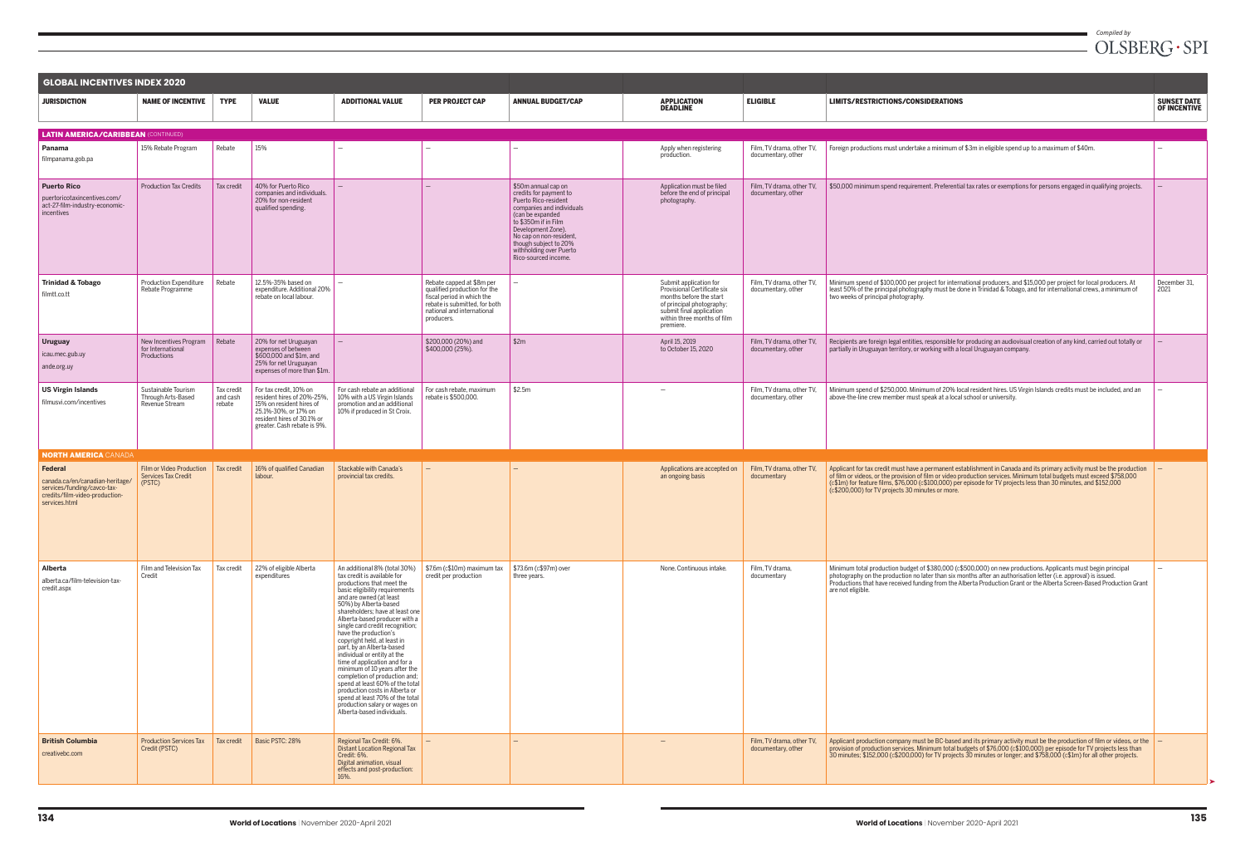| <b>GLOBAL INCENTIVES INDEX 2020</b>                                                                                                 |                                                                  |                                  |                                                                                                                                                                       |                                                                                                                                                                                                                                                                                                                                                                                                                                                                                                                                                                                                                                                                                     |                                                                                                                                                                      |                                                                                                                                                                                                                                                                             |                                                                                                                                                                                       |                                                 |
|-------------------------------------------------------------------------------------------------------------------------------------|------------------------------------------------------------------|----------------------------------|-----------------------------------------------------------------------------------------------------------------------------------------------------------------------|-------------------------------------------------------------------------------------------------------------------------------------------------------------------------------------------------------------------------------------------------------------------------------------------------------------------------------------------------------------------------------------------------------------------------------------------------------------------------------------------------------------------------------------------------------------------------------------------------------------------------------------------------------------------------------------|----------------------------------------------------------------------------------------------------------------------------------------------------------------------|-----------------------------------------------------------------------------------------------------------------------------------------------------------------------------------------------------------------------------------------------------------------------------|---------------------------------------------------------------------------------------------------------------------------------------------------------------------------------------|-------------------------------------------------|
| <b>JURISDICTION</b>                                                                                                                 | <b>NAME OF INCENTIVE</b>                                         | <b>TYPE</b>                      | <b>VALUE</b>                                                                                                                                                          | <b>ADDITIONAL VALUE</b>                                                                                                                                                                                                                                                                                                                                                                                                                                                                                                                                                                                                                                                             | <b>PER PROJECT CAP</b>                                                                                                                                               | <b>ANNUAL BUDGET/CAP</b>                                                                                                                                                                                                                                                    | <b>APPLICATION</b><br><b>DEADLINE</b>                                                                                                                                                 | <b>ELIGIBLE</b>                                 |
| <b>LATIN AMERICA/CARIBBEAN (CONTINUED)</b>                                                                                          |                                                                  |                                  |                                                                                                                                                                       |                                                                                                                                                                                                                                                                                                                                                                                                                                                                                                                                                                                                                                                                                     |                                                                                                                                                                      |                                                                                                                                                                                                                                                                             |                                                                                                                                                                                       |                                                 |
| Panama<br>filmpanama.gob.pa                                                                                                         | 15% Rebate Program                                               | Rebate                           | 15%                                                                                                                                                                   | $\overline{\phantom{a}}$                                                                                                                                                                                                                                                                                                                                                                                                                                                                                                                                                                                                                                                            | $\overline{\phantom{0}}$                                                                                                                                             |                                                                                                                                                                                                                                                                             | Apply when registering<br>production.                                                                                                                                                 | Film, TV drama, other TV,<br>documentary, other |
| <b>Puerto Rico</b><br>puertoricotaxincentives.com/<br>act-27-film-industry-economic-<br>incentives                                  | <b>Production Tax Credits</b>                                    | Tax credit                       | 40% for Puerto Rico<br>companies and individuals.<br>20% for non-resident<br>qualified spending.                                                                      |                                                                                                                                                                                                                                                                                                                                                                                                                                                                                                                                                                                                                                                                                     |                                                                                                                                                                      | \$50m annual cap on<br>credits for payment to<br>Puerto Rico-resident<br>companies and individuals<br>(can be expanded<br>to \$350m if in Film<br>Development Zone).<br>No cap on non-resident,<br>though subject to 20%<br>withholding over Puerto<br>Rico-sourced income. | Application must be filed<br>before the end of principal<br>photography.                                                                                                              | Film, TV drama, other TV,<br>documentary, other |
| <b>Trinidad &amp; Tobago</b><br>filmtt.co.tt                                                                                        | Production Expenditure<br>Rebate Programme                       | Rebate                           | 12.5%-35% based on<br>expenditure. Additional 20%<br>rebate on local labour.                                                                                          |                                                                                                                                                                                                                                                                                                                                                                                                                                                                                                                                                                                                                                                                                     | Rebate capped at \$8m per<br>qualified production for the<br>fiscal period in which the<br>rebate is submitted, for both<br>national and international<br>producers. |                                                                                                                                                                                                                                                                             | Submit application for<br>Provisional Certificate six<br>months before the start<br>of principal photography;<br>submit final application<br>within three months of film<br>premiere. | Film, TV drama, other TV,<br>documentary, other |
| <b>Uruguay</b><br>icau.mec.gub.uy<br>ande.org.uy                                                                                    | New Incentives Program<br>for International<br>Productions       | Rebate                           | 20% for net Uruguayan<br>expenses of between<br>\$600,000 and \$1m, and<br>25% for net Uruguayan<br>expenses of more than \$1m.                                       | $\overline{\phantom{a}}$                                                                                                                                                                                                                                                                                                                                                                                                                                                                                                                                                                                                                                                            | \$200,000 (20%) and<br>\$400,000 (25%).                                                                                                                              | \$2m                                                                                                                                                                                                                                                                        | April 15, 2019<br>to October 15, 2020                                                                                                                                                 | Film, TV drama, other TV,<br>documentary, other |
| <b>US Virgin Islands</b><br>filmusvi.com/incentives                                                                                 | Sustainable Tourism<br>Through Arts-Based<br>Revenue Stream      | Tax credit<br>and cash<br>rebate | For tax credit, 10% on<br>resident hires of 20%-25%,<br>15% on resident hires of<br>25.1%-30%, or 17% on<br>resident hires of 30.1% or<br>greater. Cash rebate is 9%. | For cash rebate an additional<br>10% with a US Virgin Islands<br>promotion and an additional<br>10% if produced in St Croix.                                                                                                                                                                                                                                                                                                                                                                                                                                                                                                                                                        | For cash rebate, maximum<br>rebate is \$500,000.                                                                                                                     | \$2.5m                                                                                                                                                                                                                                                                      |                                                                                                                                                                                       | Film, TV drama, other TV,<br>documentary, other |
| <b>NORTH AMERICA CANADA</b>                                                                                                         |                                                                  |                                  |                                                                                                                                                                       |                                                                                                                                                                                                                                                                                                                                                                                                                                                                                                                                                                                                                                                                                     |                                                                                                                                                                      |                                                                                                                                                                                                                                                                             |                                                                                                                                                                                       |                                                 |
| <b>Federal</b><br>canada.ca/en/canadian-heritage/<br>services/funding/cavco-tax-<br>credits/film-video-production-<br>services.html | Film or Video Production<br><b>Services Tax Credit</b><br>(PSTC) | Tax credit                       | 16% of qualified Canadian<br>labour.                                                                                                                                  | Stackable with Canada's<br>provincial tax credits.                                                                                                                                                                                                                                                                                                                                                                                                                                                                                                                                                                                                                                  |                                                                                                                                                                      |                                                                                                                                                                                                                                                                             | Applications are accepted on<br>an ongoing basis                                                                                                                                      | Film, TV drama, other TV,<br>documentary        |
| Alberta<br>alberta.ca/film-television-tax-<br>credit.aspx                                                                           | Film and Television Tax<br>Credit                                | Tax credit                       | 22% of eligible Alberta<br>expenditures                                                                                                                               | An additional 8% (total 30%)<br>tax credit is available for<br>productions that meet the<br>basic eligibility requirements<br>and are owned (at least<br>50%) by Alberta-based<br>shareholders; have at least one<br>Alberta-based producer with a<br>single card credit recognition;<br>have the production's<br>copyright held, at least in<br>part, by an Alberta-based<br>individual or entity at the<br>time of application and for a<br>minimum of 10 years after the<br>completion of production and;<br>spend at least 60% of the total<br>production costs in Alberta or<br>spend at least 70% of the total<br>production salary or wages on<br>Alberta-based individuals. | \$7.6m (c\$10m) maximum tax<br>credit per production                                                                                                                 | \$73.6m (c\$97m) over<br>three years.                                                                                                                                                                                                                                       | None. Continuous intake.                                                                                                                                                              | Film, TV drama,<br>documentary                  |
| <b>British Columbia</b><br>creativebc.com                                                                                           | <b>Production Services Tax</b><br>Credit (PSTC)                  | Tax credit                       | Basic PSTC: 28%                                                                                                                                                       | Regional Tax Credit: 6%.<br><b>Distant Location Regional Tax</b><br>Credit: 6%.<br>Digital animation, visual<br>effects and post-production:<br>16%.                                                                                                                                                                                                                                                                                                                                                                                                                                                                                                                                | $\qquad \qquad -$                                                                                                                                                    |                                                                                                                                                                                                                                                                             |                                                                                                                                                                                       | Film, TV drama, other TV,<br>documentary, other |

## *Compiled by*<br> $OLSBERG\cdot SPI$

| <b>ELIGIBLE</b>                                 | LIMITS/RESTRICTIONS/CONSIDERATIONS                                                                                                                                                                                                                                                                                                                                                                                      | <b>SUNSET DATE</b><br><b>OF INCENTIVE</b> |
|-------------------------------------------------|-------------------------------------------------------------------------------------------------------------------------------------------------------------------------------------------------------------------------------------------------------------------------------------------------------------------------------------------------------------------------------------------------------------------------|-------------------------------------------|
|                                                 |                                                                                                                                                                                                                                                                                                                                                                                                                         |                                           |
| Film, TV drama, other TV,<br>documentary, other | Foreign productions must undertake a minimum of \$3m in eligible spend up to a maximum of \$40m.                                                                                                                                                                                                                                                                                                                        |                                           |
| Film, TV drama, other TV,<br>documentary, other | \$50,000 minimum spend requirement. Preferential tax rates or exemptions for persons engaged in qualifying projects.                                                                                                                                                                                                                                                                                                    |                                           |
| Film, TV drama, other TV,<br>documentary, other | Minimum spend of \$100,000 per project for international producers, and \$15,000 per project for local producers. At<br>least 50% of the principal photography must be done in Trinidad & Tobago, and for international crews, a minimum of<br>two weeks of principal photography.                                                                                                                                      | December 31,<br>2021                      |
| Film, TV drama, other TV,<br>documentary, other | Recipients are foreign legal entities, responsible for producing an audiovisual creation of any kind, carried out totally or<br>partially in Uruguayan territory, or working with a local Uruguayan company.                                                                                                                                                                                                            |                                           |
| Film, TV drama, other TV,<br>documentary, other | Minimum spend of \$250,000. Minimum of 20% local resident hires. US Virgin Islands credits must be included, and an<br>above-the-line crew member must speak at a local school or university.                                                                                                                                                                                                                           |                                           |
| Film. TV drama, other TV.<br>documentary        | Applicant for tax credit must have a permanent establishment in Canada and its primary activity must be the production<br>of film or videos, or the provision of film or video production services. Minimum total budgets must exceed \$758,000<br>(c\$1m) for feature films, \$76,000 (c\$100,000) per episode for TV projects less than 30 minutes, and \$152,000<br>(c\$200,000) for TV projects 30 minutes or more. | —                                         |
| Film, TV drama,<br>documentary                  | Minimum total production budget of \$380,000 (c\$500,000) on new productions. Applicants must begin principal<br>photography on the production no later than six months after an authorisation letter (i.e. approval) is issued.<br>Productions that have received funding from the Alberta Production Grant or the Alberta Screen-Based Production Grant<br>are not eligible.                                          | $\overline{\phantom{0}}$                  |
| Film, TV drama, other TV,<br>documentary, other | Applicant production company must be BC-based and its primary activity must be the production of film or videos, or the<br>provision of production services. Minimum total budgets of \$76,000 (c\$100,000) per episode for TV projects less than<br>30 minutes; \$152,000 (c\$200,000) for TV projects 30 minutes or longer; and \$758,000 (c\$1m) for all other projects.                                             | -                                         |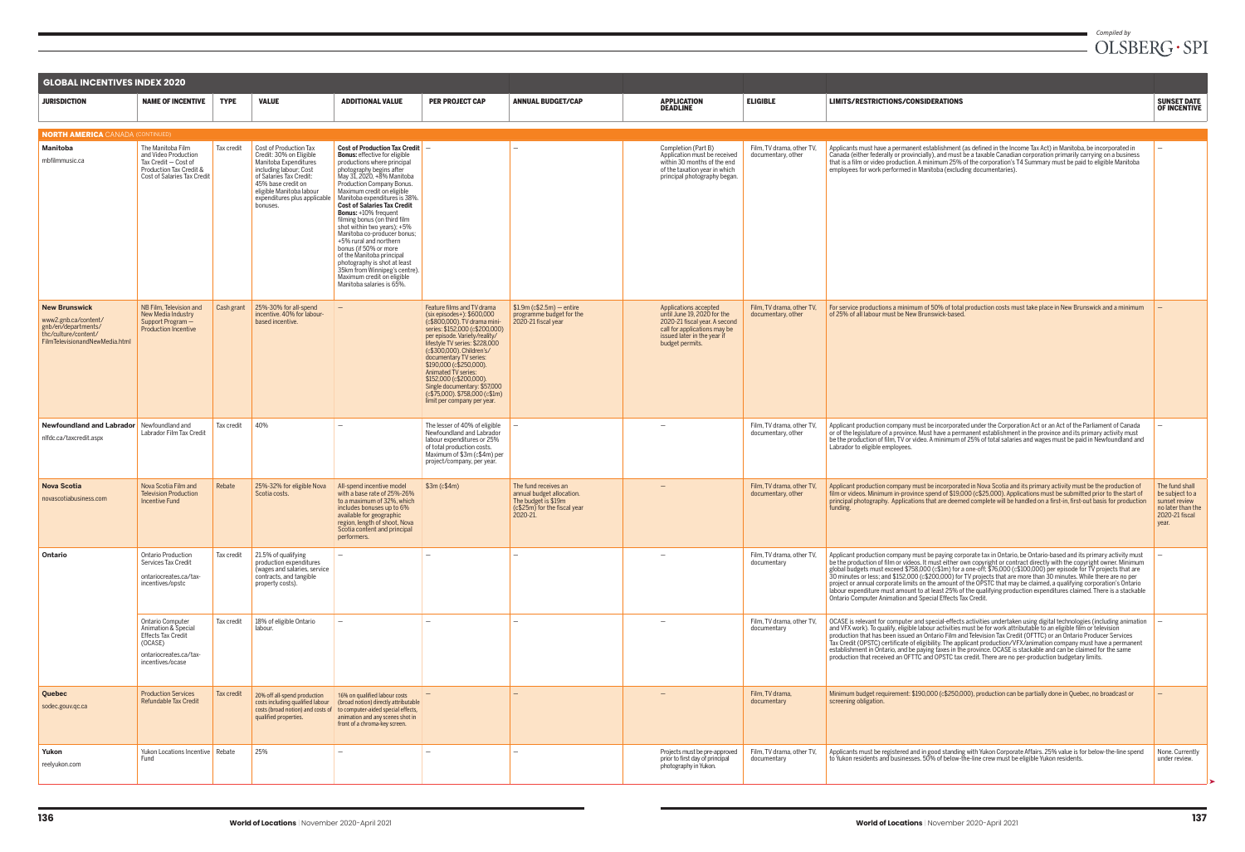| <b>GLOBAL INCENTIVES INDEX 2020</b>                                                                                           |                                                                                                                             |                          |                                                                                                                                                                                                                               |                                                                                                                                                                                                                                                                                                                                                                                                                                                                                                                                                                                                                                               |                                                                                                                                                                                                                                                                                                                                                                                                                                       |                                                                                                                      |                                                                                                                                                                         |                                                                       |
|-------------------------------------------------------------------------------------------------------------------------------|-----------------------------------------------------------------------------------------------------------------------------|--------------------------|-------------------------------------------------------------------------------------------------------------------------------------------------------------------------------------------------------------------------------|-----------------------------------------------------------------------------------------------------------------------------------------------------------------------------------------------------------------------------------------------------------------------------------------------------------------------------------------------------------------------------------------------------------------------------------------------------------------------------------------------------------------------------------------------------------------------------------------------------------------------------------------------|---------------------------------------------------------------------------------------------------------------------------------------------------------------------------------------------------------------------------------------------------------------------------------------------------------------------------------------------------------------------------------------------------------------------------------------|----------------------------------------------------------------------------------------------------------------------|-------------------------------------------------------------------------------------------------------------------------------------------------------------------------|-----------------------------------------------------------------------|
| <b>JURISDICTION</b>                                                                                                           | <b>NAME OF INCENTIVE</b>                                                                                                    | <b>TYPE</b>              | <b>VALUE</b>                                                                                                                                                                                                                  | <b>ADDITIONAL VALUE</b>                                                                                                                                                                                                                                                                                                                                                                                                                                                                                                                                                                                                                       | <b>PER PROJECT CAP</b>                                                                                                                                                                                                                                                                                                                                                                                                                | <b>ANNUAL BUDGET/CAP</b>                                                                                             | <b>APPLICATION</b><br><b>DEADLINE</b>                                                                                                                                   | <b>ELIGIBLE</b>                                                       |
| <b>NORTH AMERICA</b> CANADA (CONTINUED)                                                                                       |                                                                                                                             |                          |                                                                                                                                                                                                                               |                                                                                                                                                                                                                                                                                                                                                                                                                                                                                                                                                                                                                                               |                                                                                                                                                                                                                                                                                                                                                                                                                                       |                                                                                                                      |                                                                                                                                                                         |                                                                       |
| <b>Manitoba</b><br>mbfilmmusic.ca                                                                                             | The Manitoba Film<br>and Video Production<br>Tax Credit - Cost of<br>Production Tax Credit &<br>Cost of Salaries Tax Credit | Tax credit               | Cost of Production Tax<br>Credit: 30% on Eligible<br>Manitoba Expenditures<br>including labour; Cost<br>of Salaries Tax Credit:<br>45% base credit on<br>eligible Manitoba labour<br>expenditures plus applicable<br>bonuses. | Cost of Production Tax Credit $-$<br><b>Bonus:</b> effective for eligible<br>productions where principal<br>photography begins after<br>May 31, 2020, +8% Manitoba<br>Production Company Bonus.<br>Maximum credit on eligible<br>Manitoba expenditures is 38%.<br><b>Cost of Salaries Tax Credit</b><br><b>Bonus:</b> +10% frequent<br>filming bonus (on third film<br>shot within two years); +5%<br>Manitoba co-producer bonus;<br>+5% rural and northern<br>bonus (if 50% or more<br>of the Manitoba principal<br>photography is shot at least<br>35km from Winnipeg's centre).<br>Maximum credit on eligible<br>Manitoba salaries is 65%. |                                                                                                                                                                                                                                                                                                                                                                                                                                       |                                                                                                                      | Completion (Part B)<br>Application must be received<br>within 30 months of the end<br>of the taxation year in which<br>principal photography began.                     | Film, TV drama, other TV,<br>documentary, other                       |
| <b>New Brunswick</b><br>www2.gnb.ca/content/<br>gnb/en/departments/<br>thc/culture/content/<br>FilmTelevisionandNewMedia.html | NB Film, Television and<br>New Media Industry<br>Support Program -<br><b>Production Incentive</b>                           | Cash grant               | 25%-30% for all-spend<br>incentive. 40% for labour-<br>based incentive.                                                                                                                                                       | $\overline{\phantom{0}}$                                                                                                                                                                                                                                                                                                                                                                                                                                                                                                                                                                                                                      | Feature films and TV drama<br>(six episodes+): \$600,000<br>(c\$800,000). TV drama mini-<br>series: \$152,000 (c\$200,000)<br>per episode. Variety/reality/<br>lifestyle TV series: \$228,000<br>(c\$300,000). Children's/<br>documentary TV series:<br>\$190,000 (c\$250,000).<br>Animated TV series:<br>\$152,000 (c\$200,000).<br>Single documentary: \$57,000<br>$(c$75,000)$ . \$758,000 $(c$1m)$<br>limit per company per year. | $$1.9m$ (c\$2.5m) - entire<br>programme budget for the<br>2020-21 fiscal year                                        | Applications accepted<br>until June 19, 2020 for the<br>2020-21 fiscal year. A second<br>call for applications may be<br>issued later in the year if<br>budget permits. | Film, TV drama, other TV,<br>documentary, other                       |
| <b>Newfoundland and Labrador</b> Newfoundland and<br>nlfdc.ca/taxcredit.aspx                                                  | Labrador Film Tax Credit                                                                                                    | Tax credit               | 40%                                                                                                                                                                                                                           |                                                                                                                                                                                                                                                                                                                                                                                                                                                                                                                                                                                                                                               | The lesser of 40% of eligible<br>Newfoundland and Labrador<br>labour expenditures or 25%<br>of total production costs.<br>Maximum of \$3m (c\$4m) per<br>project/company, per year.                                                                                                                                                                                                                                                   | $\overline{\phantom{m}}$                                                                                             |                                                                                                                                                                         | Film, TV drama, other TV,<br>documentary, other                       |
| <b>Nova Scotia</b><br>novascotiabusiness.com                                                                                  | Nova Scotia Film and<br><b>Television Production</b><br>Incentive Fund                                                      | Rebate                   | 25%-32% for eligible Nova<br>Scotia costs.                                                                                                                                                                                    | All-spend incentive model<br>with a base rate of 25%-26%<br>to a maximum of 32%, which<br>includes bonuses up to 6%<br>available for geographic<br>region, length of shoot, Nova<br>Scotia content and principal<br>performers.                                                                                                                                                                                                                                                                                                                                                                                                               | \$3m (c\$4m)                                                                                                                                                                                                                                                                                                                                                                                                                          | The fund receives an<br>annual budget allocation.<br>The budget is \$19m<br>(c\$25m) for the fiscal year<br>2020-21. |                                                                                                                                                                         | Film. TV drama, other TV.<br>documentary, other                       |
| Ontario                                                                                                                       | <b>Ontario Production</b><br>Services Tax Credit<br>ontariocreates.ca/tax-<br>incentives/opstc<br>Ontario Computer          | Tax credit<br>Tax credit | 21.5% of qualifying<br>production expenditures<br>(wages and salaries, service<br>contracts, and tangible<br>property costs).<br>18% of eligible Ontario                                                                      | $\overline{\phantom{0}}$<br>$\overline{\phantom{0}}$                                                                                                                                                                                                                                                                                                                                                                                                                                                                                                                                                                                          | $\overline{\phantom{0}}$<br>$\overline{\phantom{0}}$                                                                                                                                                                                                                                                                                                                                                                                  | $\overline{\phantom{0}}$                                                                                             | $\overline{\phantom{0}}$                                                                                                                                                | Film. TV drama, other TV.<br>documentary<br>Film, TV drama, other TV, |
|                                                                                                                               | Animation & Special<br><b>Effects Tax Credit</b><br>(OCASE)<br>ontariocreates.ca/tax-<br>incentives/ocase                   |                          | labour.                                                                                                                                                                                                                       |                                                                                                                                                                                                                                                                                                                                                                                                                                                                                                                                                                                                                                               |                                                                                                                                                                                                                                                                                                                                                                                                                                       |                                                                                                                      |                                                                                                                                                                         | documentary                                                           |
| Quebec<br>sodec.gouv.qc.ca                                                                                                    | <b>Production Services</b><br><b>Refundable Tax Credit</b>                                                                  | Tax credit               | 20% off all-spend production<br>costs including qualified labour<br>costs (broad notion) and costs of<br>qualified properties.                                                                                                | 16% on qualified labour costs<br>(broad notion) directly attributable<br>to computer-aided special effects,<br>animation and any scenes shot in<br>front of a chroma-key screen.                                                                                                                                                                                                                                                                                                                                                                                                                                                              |                                                                                                                                                                                                                                                                                                                                                                                                                                       |                                                                                                                      |                                                                                                                                                                         | Film, TV drama,<br>documentary                                        |
| Yukon<br>reelyukon.com                                                                                                        | Yukon Locations Incentive Rebate<br>Fund                                                                                    |                          | 25%                                                                                                                                                                                                                           |                                                                                                                                                                                                                                                                                                                                                                                                                                                                                                                                                                                                                                               |                                                                                                                                                                                                                                                                                                                                                                                                                                       |                                                                                                                      | Projects must be pre-approved<br>prior to first day of principal<br>photography in Yukon.                                                                               | Film, TV drama, other TV,<br>documentary                              |

| <b>ELIGIBLE</b>                                 | LIMITS/RESTRICTIONS/CONSIDERATIONS                                                                                                                                                                                                                                                                                                                                                                                                                                                                                                                                                                                                                                                                                                                                                                                  | <b>SUNSET DATE</b>                                                                                 |
|-------------------------------------------------|---------------------------------------------------------------------------------------------------------------------------------------------------------------------------------------------------------------------------------------------------------------------------------------------------------------------------------------------------------------------------------------------------------------------------------------------------------------------------------------------------------------------------------------------------------------------------------------------------------------------------------------------------------------------------------------------------------------------------------------------------------------------------------------------------------------------|----------------------------------------------------------------------------------------------------|
|                                                 |                                                                                                                                                                                                                                                                                                                                                                                                                                                                                                                                                                                                                                                                                                                                                                                                                     | <b>OF INCENTIVE</b>                                                                                |
|                                                 |                                                                                                                                                                                                                                                                                                                                                                                                                                                                                                                                                                                                                                                                                                                                                                                                                     |                                                                                                    |
| Film, TV drama, other TV,<br>documentary, other | Applicants must have a permanent establishment (as defined in the Income Tax Act) in Manitoba, be incorporated in<br>Canada (either federally or provincially), and must be a taxable Canadian corporation primarily carrying on a business<br>that is a film or video production. A minimum 25% of the corporation's T4 Summary must be paid to eligible Manitoba<br>employees for work performed in Manitoba (excluding documentaries).                                                                                                                                                                                                                                                                                                                                                                           | $\overline{\phantom{0}}$                                                                           |
| Film, TV drama, other TV,<br>documentary, other | For service productions a minimum of 50% of total production costs must take place in New Brunswick and a minimum<br>of 25% of all labour must be New Brunswick-based.                                                                                                                                                                                                                                                                                                                                                                                                                                                                                                                                                                                                                                              |                                                                                                    |
| Film, TV drama, other TV,<br>documentary, other | Applicant production company must be incorporated under the Corporation Act or an Act of the Parliament of Canada<br>or of the legislature of a province. Must have a permanent establishment in the province and its primary activity must<br>be the production of film, TV or video. A minimum of 25% of total salaries and wages must be paid in Newfoundland and<br>Labrador to eligible employees.                                                                                                                                                                                                                                                                                                                                                                                                             |                                                                                                    |
| Film, TV drama, other TV,<br>documentary, other | Applicant production company must be incorporated in Nova Scotia and its primary activity must be the production of<br>film or videos. Minimum in-province spend of \$19,000 (c\$25,000). Applications must be submitted prior to the start of<br>principal photography. Applications that are deemed complete will be handled on a first-in, first-out basis for production<br>funding.                                                                                                                                                                                                                                                                                                                                                                                                                            | The fund shall<br>be subject to a<br>sunset review<br>no later than the<br>2020-21 fiscal<br>year. |
| Film, TV drama, other TV,<br>documentary        | Applicant production company must be paying corporate tax in Ontario, be Ontario-based and its primary activity must<br>be the production of film or videos. It must either own copyright or contract directly with the copyright owner. Minimum<br>global budgets must exceed \$758,000 (c\$1m) for a one-off; \$76,000 (c\$100,000) per episode for TV projects that are<br>30 minutes or less; and \$152,000 (c\$200,000) for TV projects that are more than 30 minutes. While there are no per<br>project or annual corporate limits on the amount of the OPSTC that may be claimed, a qualifying corporation's Ontario<br>labour expenditure must amount to at least 25% of the qualifying production expenditures claimed. There is a stackable<br>Ontario Computer Animation and Special Effects Tax Credit. |                                                                                                    |
| Film, TV drama, other TV,<br>documentary        | OCASE is relevant for computer and special-effects activities undertaken using digital technologies (including animation<br>and VFX work). To qualify, eligible labour activities must be for work attributable to an eligible film or television<br>production that has been issued an Ontario Film and Television Tax Credit (OFTTC) or an Ontario Producer Services<br>Tax Credit (OPSTC) certificate of eligibility. The applicant production/VFX/animation company must have a permanent<br>establishment in Ontario, and be paying taxes in the province. OCASE is stackable and can be claimed for the same<br>production that received an OFTTC and OPSTC tax credit. There are no per-production budgetary limits.                                                                                         |                                                                                                    |
| Film, TV drama,<br>documentary                  | Minimum budget requirement: \$190,000 (c\$250,000), production can be partially done in Quebec, no broadcast or<br>screening obligation.                                                                                                                                                                                                                                                                                                                                                                                                                                                                                                                                                                                                                                                                            |                                                                                                    |
| Film, TV drama, other TV,<br>documentary        | Applicants must be registered and in good standing with Yukon Corporate Affairs. 25% value is for below-the-line spend<br>to Yukon residents and businesses. 50% of below-the-line crew must be eligible Yukon residents.                                                                                                                                                                                                                                                                                                                                                                                                                                                                                                                                                                                           | None. Currently<br>under review.                                                                   |

➤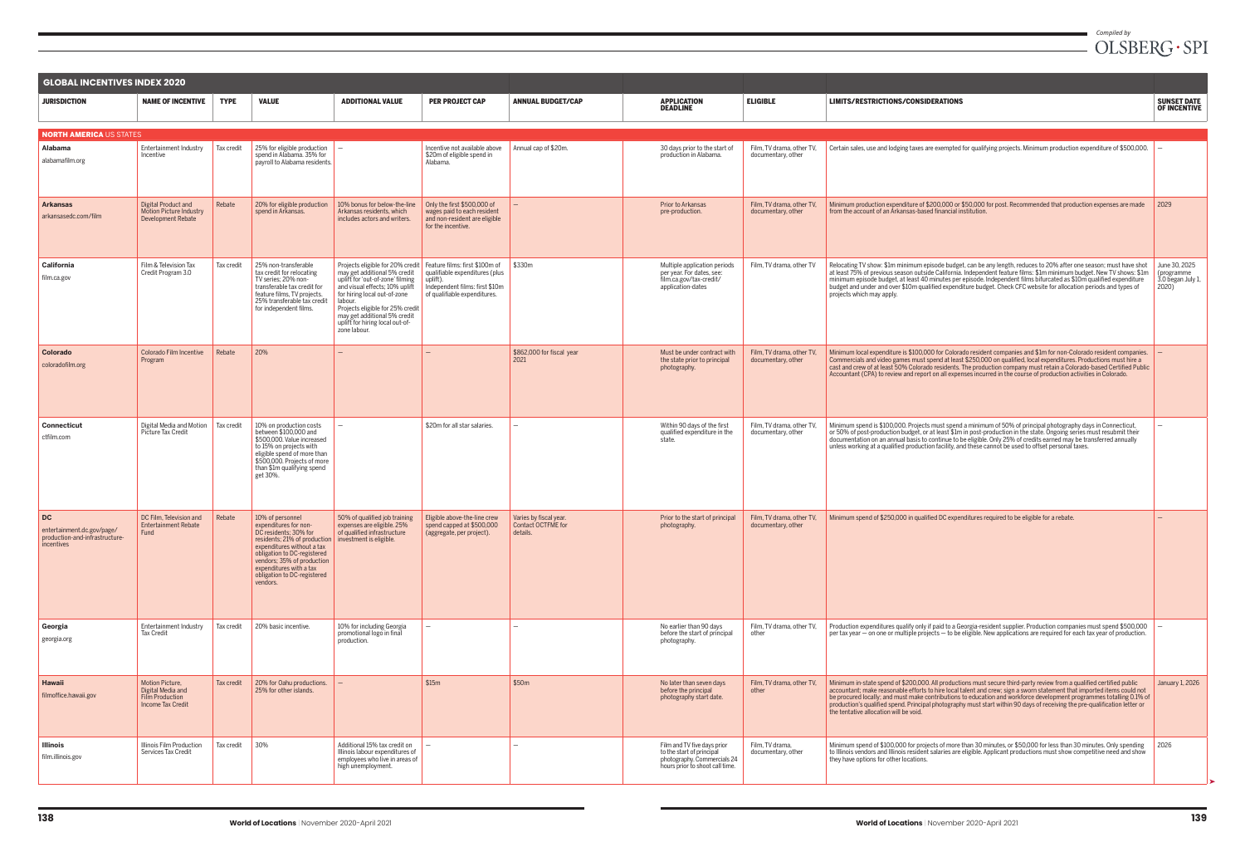| <b>GLOBAL INCENTIVES INDEX 2020</b>                                                     |                                                                                            |             |                                                                                                                                                                                                                                                                     |                                                                                                                                                                                                                                                                                                          |                                                                                                                                                |                                                          |                                                                                                                            |                                                 |
|-----------------------------------------------------------------------------------------|--------------------------------------------------------------------------------------------|-------------|---------------------------------------------------------------------------------------------------------------------------------------------------------------------------------------------------------------------------------------------------------------------|----------------------------------------------------------------------------------------------------------------------------------------------------------------------------------------------------------------------------------------------------------------------------------------------------------|------------------------------------------------------------------------------------------------------------------------------------------------|----------------------------------------------------------|----------------------------------------------------------------------------------------------------------------------------|-------------------------------------------------|
| <b>JURISDICTION</b>                                                                     | <b>NAME OF INCENTIVE</b>                                                                   | <b>TYPE</b> | <b>VALUE</b>                                                                                                                                                                                                                                                        | <b>ADDITIONAL VALUE</b>                                                                                                                                                                                                                                                                                  | <b>PER PROJECT CAP</b>                                                                                                                         | <b>ANNUAL BUDGET/CAP</b>                                 | <b>APPLICATION</b><br><b>DEADLINE</b>                                                                                      | <b>ELIGIBLE</b>                                 |
| <b>NORTH AMERICA US STATES</b>                                                          |                                                                                            |             |                                                                                                                                                                                                                                                                     |                                                                                                                                                                                                                                                                                                          |                                                                                                                                                |                                                          |                                                                                                                            |                                                 |
| <b>Alabama</b><br>alabamafilm.org                                                       | Entertainment Industry<br>Incentive                                                        | Tax credit  | 25% for eligible production<br>spend in Alabama. 35% for<br>payroll to Alabama residents.                                                                                                                                                                           | $\overline{\phantom{m}}$                                                                                                                                                                                                                                                                                 | Incentive not available above<br>\$20m of eligible spend in<br>Alabama.                                                                        | Annual cap of \$20m.                                     | 30 days prior to the start of<br>production in Alabama.                                                                    | Film. TV drama, other TV.<br>documentary, other |
| <b>Arkansas</b><br>arkansasedc.com/film                                                 | <b>Digital Product and</b><br><b>Motion Picture Industry</b><br><b>Development Rebate</b>  | Rebate      | 20% for eligible production<br>spend in Arkansas.                                                                                                                                                                                                                   | 10% bonus for below-the-line<br>Arkansas residents, which<br>includes actors and writers.                                                                                                                                                                                                                | Only the first \$500,000 of<br>wages paid to each resident<br>and non-resident are eligible<br>for the incentive.                              |                                                          | Prior to Arkansas<br>pre-production.                                                                                       | Film, TV drama, other TV,<br>documentary, other |
| California<br>film.ca.gov                                                               | Film & Television Tax<br>Credit Program 3.0                                                | Tax credit  | 25% non-transferable<br>tax credit for relocating<br>TV series: 20% non-<br>transferable tax credit for<br>feature films, TV projects.<br>25% transferable tax credit<br>for independent films.                                                                     | Projects eligible for 20% credit<br>may get additional 5% credit<br>uplift for 'out-of-zone' filming<br>and visual effects; 10% uplift<br>for hiring local out-of-zone<br>labour.<br>Projects eligible for 25% credit<br>may get additional 5% credit<br>uplift for hiring local out-of-<br>zone labour. | Feature films: first \$100m of<br>qualifiable expenditures (plus<br>uplift).<br>Independent films: first \$10m<br>of qualifiable expenditures. | \$330m                                                   | Multiple application periods<br>per year. For dates, see:<br>film.ca.gov/tax-credit/<br>application-dates                  | Film, TV drama, other TV                        |
| <b>Colorado</b><br>coloradofilm.org                                                     | Colorado Film Incentive<br>Program                                                         | Rebate      | 20%                                                                                                                                                                                                                                                                 |                                                                                                                                                                                                                                                                                                          |                                                                                                                                                | \$862,000 for fiscal year<br>2021                        | Must be under contract with<br>the state prior to principal<br>photography.                                                | Film, TV drama, other TV,<br>documentary, other |
| <b>Connecticut</b><br>ctfilm.com                                                        | Digital Media and Motion<br>Picture Tax Credit                                             | Tax credit  | 10% on production costs<br>between \$100,000 and<br>\$500,000. Value increased<br>to 15% on projects with<br>eligible spend of more than<br>\$500,000. Projects of more<br>than \$1m qualifying spend<br>get 30%.                                                   | $\overline{\phantom{m}}$                                                                                                                                                                                                                                                                                 | \$20m for all star salaries.                                                                                                                   |                                                          | Within 90 days of the first<br>qualified expenditure in the<br>state.                                                      | Film, TV drama, other TV,<br>documentary, other |
| <b>DC</b><br>entertainment.dc.gov/page/<br>production-and-infrastructure-<br>incentives | DC Film. Television and<br><b>Entertainment Rebate</b><br>Fund                             | Rebate      | 10% of personnel<br>expenditures for non-<br>DC residents; 30% for<br>residents; 21% of production<br>expenditures without a tax<br>obligation to DC-registered<br>vendors; 35% of production<br>expenditures with a tax<br>obligation to DC-registered<br>vendors. | 50% of qualified job training<br>expenses are eligible. 25%<br>of qualified infrastructure<br>investment is eligible.                                                                                                                                                                                    | Eligible above-the-line crew<br>spend capped at \$500,000<br>(aggregate, per project).                                                         | Varies by fiscal year.<br>Contact OCTFME for<br>details. | Prior to the start of principal<br>photography.                                                                            | Film, TV drama, other TV,<br>documentary, other |
| Georgia<br>georgia.org                                                                  | Entertainment Industry<br>Tax Credit                                                       | Tax credit  | 20% basic incentive.                                                                                                                                                                                                                                                | 10% for including Georgia<br>promotional logo in final<br>production.                                                                                                                                                                                                                                    | $\qquad \qquad -$                                                                                                                              | $\overline{\phantom{0}}$                                 | No earlier than 90 days<br>before the start of principal<br>photography.                                                   | Film, TV drama, other TV,<br>other              |
| <b>Hawaii</b><br>filmoffice.hawaii.gov                                                  | Motion Picture,<br>Digital Media and<br><b>Film Production</b><br><b>Income Tax Credit</b> | Tax credit  | 20% for Oahu productions.<br>25% for other islands.                                                                                                                                                                                                                 | $\overline{\phantom{a}}$                                                                                                                                                                                                                                                                                 | \$15m                                                                                                                                          | \$50m                                                    | No later than seven days<br>before the principal<br>photography start date.                                                | Film, TV drama, other TV,<br>other              |
| <b>Illinois</b><br>film.illinois.gov                                                    | Illinois Film Production<br>Services Tax Credit                                            | Tax credit  | 30%                                                                                                                                                                                                                                                                 | Additional 15% tax credit on<br>Illinois labour expenditures of<br>employees who live in areas of<br>high unemployment.                                                                                                                                                                                  | $\overline{\phantom{0}}$                                                                                                                       | $\overline{\phantom{0}}$                                 | Film and TV five days prior<br>to the start of principal<br>photography. Commercials 24<br>hours prior to shoot call time. | Film, TV drama,<br>documentary, other           |

| <b>ELIGIBLE</b>                                 | LIMITS/RESTRICTIONS/CONSIDERATIONS                                                                                                                                                                                                                                                                                                                                                                                                                                                                                                               | <b>SUNSET DATE</b><br><b>OF INCENTIVE</b>                 |
|-------------------------------------------------|--------------------------------------------------------------------------------------------------------------------------------------------------------------------------------------------------------------------------------------------------------------------------------------------------------------------------------------------------------------------------------------------------------------------------------------------------------------------------------------------------------------------------------------------------|-----------------------------------------------------------|
| Film, TV drama, other TV,<br>documentary, other | Certain sales, use and lodging taxes are exempted for qualifying projects. Minimum production expenditure of \$500,000.                                                                                                                                                                                                                                                                                                                                                                                                                          |                                                           |
| Film. TV drama, other TV.<br>documentary, other | Minimum production expenditure of \$200,000 or \$50,000 for post. Recommended that production expenses are made<br>from the account of an Arkansas-based financial institution.                                                                                                                                                                                                                                                                                                                                                                  | 2029                                                      |
| Film. TV drama, other TV                        | Relocating TV show: \$1m minimum episode budget, can be any length, reduces to 20% after one season; must have shot<br>at least 75% of previous season outside California. Independent feature films: \$1m minimum budget. New TV shows: \$1m<br>minimum episode budget, at least 40 minutes per episode. Independent films bifurcated as \$10m qualified expenditure<br>budget and under and over \$10m qualified expenditure budget. Check CFC website for allocation periods and types of<br>projects which may apply.                        | June 30, 2025<br>(programme<br>3.0 began July 1,<br>2020) |
| Film. TV drama, other TV.<br>documentary, other | Minimum local expenditure is \$100,000 for Colorado resident companies and \$1m for non-Colorado resident companies.<br>Commercials and video games must spend at least \$250,000 on qualified, local expenditures. Productions must hire a<br>cast and crew of at least 50% Colorado residents. The production company must retain a Colorado-based Certified Public<br>Accountant (CPA) to review and report on all expenses incurred in the course of production activities in Colorado.                                                      |                                                           |
| Film, TV drama, other TV,<br>documentary, other | Minimum spend is \$100,000. Projects must spend a minimum of 50% of principal photography days in Connecticut,<br>or 50% of post-production budget, or at least \$1m in post-production in the state. Ongoing series must resubmit their<br>documentation on an annual basis to continue to be eligible. Only 25% of credits earned may be transferred annually<br>unless working at a qualified production facility, and these cannot be used to offset personal taxes.                                                                         |                                                           |
| Film, TV drama, other TV,<br>documentary, other | Minimum spend of \$250,000 in qualified DC expenditures required to be eligible for a rebate.                                                                                                                                                                                                                                                                                                                                                                                                                                                    |                                                           |
| Film, TV drama, other TV,<br>other              | Production expenditures qualify only if paid to a Georgia-resident supplier. Production companies must spend \$500,000<br>per tax year – on one or multiple projects – to be eligible. New applications are required for each tax year of production.                                                                                                                                                                                                                                                                                            |                                                           |
| Film, TV drama, other TV,<br>other              | Minimum in-state spend of \$200,000. All productions must secure third-party review from a qualified certified public<br>accountant; make reasonable efforts to hire local talent and crew; sign a sworn statement that imported items could not<br>be procured locally; and must make contributions to education and workforce development programmes totalling 0.1% of<br>production's qualified spend. Principal photography must start within 90 days of receiving the pre-qualification letter or<br>the tentative allocation will be void. | January 1, 2026                                           |
| Film, TV drama,<br>documentary, other           | Minimum spend of \$100,000 for projects of more than 30 minutes, or \$50,000 for less than 30 minutes. Only spending<br>to Illinois vendors and Illinois resident salaries are eligible. Applicant productions must show competitive need and show<br>they have options for other locations.                                                                                                                                                                                                                                                     | 2026                                                      |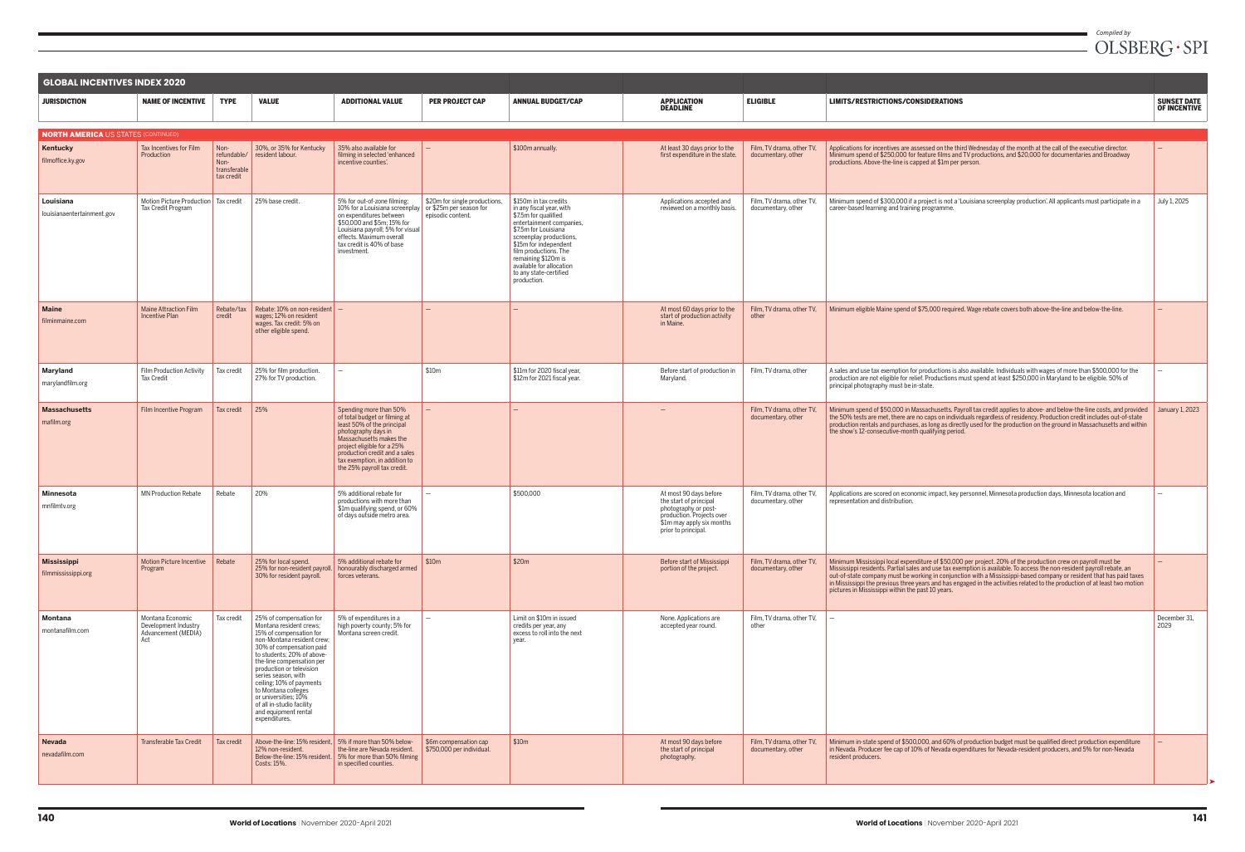| <b>GLOBAL INCENTIVES INDEX 2020</b>        |                                                                        |                                                           |                                                                                                                                                                                                                                                                                                                                                                                                        |                                                                                                                                                                                                                                                                        |                                                    |                                                                                                                                                                                                                                                                                                        |                                                                                                                                                           |                                                 |                                                                                                                                                                                                                                                                                                                                                                                                                                                                                                                                                   |                                           |  |
|--------------------------------------------|------------------------------------------------------------------------|-----------------------------------------------------------|--------------------------------------------------------------------------------------------------------------------------------------------------------------------------------------------------------------------------------------------------------------------------------------------------------------------------------------------------------------------------------------------------------|------------------------------------------------------------------------------------------------------------------------------------------------------------------------------------------------------------------------------------------------------------------------|----------------------------------------------------|--------------------------------------------------------------------------------------------------------------------------------------------------------------------------------------------------------------------------------------------------------------------------------------------------------|-----------------------------------------------------------------------------------------------------------------------------------------------------------|-------------------------------------------------|---------------------------------------------------------------------------------------------------------------------------------------------------------------------------------------------------------------------------------------------------------------------------------------------------------------------------------------------------------------------------------------------------------------------------------------------------------------------------------------------------------------------------------------------------|-------------------------------------------|--|
| <b>JURISDICTION</b>                        | <b>NAME OF INCENTIVE</b>                                               | <b>TYPE</b>                                               | <b>VALUE</b>                                                                                                                                                                                                                                                                                                                                                                                           | <b>ADDITIONAL VALUE</b>                                                                                                                                                                                                                                                | <b>PER PROJECT CAP</b>                             | <b>ANNUAL BUDGET/CAP</b>                                                                                                                                                                                                                                                                               | <b>APPLICATION</b><br><b>DEADLINE</b>                                                                                                                     | <b>ELIGIBLE</b>                                 | <b>LIMITS/RESTRICTIONS/CONSIDERATIONS</b>                                                                                                                                                                                                                                                                                                                                                                                                                                                                                                         | <b>SUNSET DATE</b><br><b>OF INCENTIVE</b> |  |
| <b>NORTH AMERICA US STATES (CONTINUED)</b> |                                                                        |                                                           |                                                                                                                                                                                                                                                                                                                                                                                                        |                                                                                                                                                                                                                                                                        |                                                    |                                                                                                                                                                                                                                                                                                        |                                                                                                                                                           |                                                 |                                                                                                                                                                                                                                                                                                                                                                                                                                                                                                                                                   |                                           |  |
| Kentucky<br>filmoffice.ky.gov              | Tax Incentives for Film<br>Production                                  | Non-<br>refundable/<br>Non-<br>transferable<br>tax credit | 30%, or 35% for Kentucky<br>resident labour.                                                                                                                                                                                                                                                                                                                                                           | 35% also available for<br>filming in selected 'enhanced<br>incentive counties'.                                                                                                                                                                                        |                                                    | \$100m annually.                                                                                                                                                                                                                                                                                       | At least 30 days prior to the<br>first expenditure in the state.                                                                                          | Film, TV drama, other TV,<br>documentary, other | Applications for incentives are assessed on the third Wednesday of the month at the call of the executive director.<br>Minimum spend of \$250,000 for feature films and TV productions, and \$20,000 for documentaries and Broadway<br>productions. Above-the-line is capped at \$1m per person.                                                                                                                                                                                                                                                  |                                           |  |
| Louisiana<br>louisianaentertainment.gov    | Motion Picture Production Tax credit<br>Tax Credit Program             |                                                           | 25% base credit.                                                                                                                                                                                                                                                                                                                                                                                       | 5% for out-of-zone filming;<br>10% for a Louisiana screenplay or \$25m per season for<br>on expenditures between<br>\$50,000 and \$5m; 15% for<br>Louisiana payroll; 5% for visual<br>effects. Maximum overall<br>tax credit is 40% of base<br>investment.             | \$20m for single productions,<br>episodic content. | \$150m in tax credits<br>in any fiscal year, with<br>\$7.5m for qualified<br>entertainment companies,<br>\$7.5m for Louisiana<br>screenplay productions,<br>\$15m for independent<br>film productions. The<br>remaining \$120m is<br>available for allocation<br>to any state-certified<br>production. | Applications accepted and<br>reviewed on a monthly basis.                                                                                                 | Film, TV drama, other TV,<br>documentary, other | Minimum spend of \$300,000 if a project is not a 'Louisiana screenplay production'. All applicants must participate in a<br>career-based learning and training programme.                                                                                                                                                                                                                                                                                                                                                                         | July 1, 2025                              |  |
| <b>Maine</b><br>filminmaine.com            | Maine Attraction Film<br><b>Incentive Plan</b>                         | Rebate/tax<br>credit                                      | Rebate: 10% on non-resident $\vert -$<br>wages; 12% on resident<br>wages. Tax credit: 5% on<br>other eligible spend.                                                                                                                                                                                                                                                                                   |                                                                                                                                                                                                                                                                        |                                                    |                                                                                                                                                                                                                                                                                                        | At most 60 days prior to the<br>start of production activity<br>in Maine.                                                                                 | Film, TV drama, other TV,<br>other              | Minimum eligible Maine spend of \$75,000 required. Wage rebate covers both above-the-line and below-the-line.                                                                                                                                                                                                                                                                                                                                                                                                                                     |                                           |  |
| Maryland<br>marylandfilm.org               | Film Production Activity<br>Tax Credit                                 | Tax credit                                                | 25% for film production.<br>27% for TV production.                                                                                                                                                                                                                                                                                                                                                     |                                                                                                                                                                                                                                                                        | \$10m                                              | \$11m for 2020 fiscal year,<br>\$12m for 2021 fiscal year.                                                                                                                                                                                                                                             | Before start of production in<br>Maryland.                                                                                                                | Film, TV drama, other                           | A sales and use tax exemption for productions is also available. Individuals with wages of more than \$500,000 for the<br>production are not eligible for relief. Productions must spend at least \$250,000 in Maryland to be eligible. 50% of<br>principal photography must be in-state.                                                                                                                                                                                                                                                         |                                           |  |
| <b>Massachusetts</b><br>mafilm.org         | Film Incentive Program                                                 | Tax credit                                                | 25%                                                                                                                                                                                                                                                                                                                                                                                                    | Spending more than 50%<br>of total budget or filming at<br>least 50% of the principal<br>photography days in<br>Massachusetts makes the<br>project eligible for a 25%<br>production credit and a sales<br>tax exemption, in addition to<br>the 25% payroll tax credit. |                                                    |                                                                                                                                                                                                                                                                                                        |                                                                                                                                                           | Film, TV drama, other TV,<br>documentary, other | Minimum spend of \$50,000 in Massachusetts. Payroll tax credit applies to above- and below-the-line costs, and provided<br>the 50% tests are met, there are no caps on individuals regardless of residency. Production credit includes out-of-state<br>production rentals and purchases, as long as directly used for the production on the ground in Massachusetts and within<br>the show's 12-consecutive-month qualifying period.                                                                                                              | January 1, 2023                           |  |
| Minnesota<br>mnfilmtv.org                  | MN Production Rebate                                                   | Rebate                                                    | 20%                                                                                                                                                                                                                                                                                                                                                                                                    | 5% additional rebate for<br>productions with more than<br>\$1m qualifying spend, or 60%<br>of days outside metro area.                                                                                                                                                 |                                                    | \$500,000                                                                                                                                                                                                                                                                                              | At most 90 days before<br>the start of principal<br>photography or post-<br>production. Projects over<br>\$1m may apply six months<br>prior to principal. | Film, TV drama, other TV,<br>documentary, other | Applications are scored on economic impact, key personnel, Minnesota production days, Minnesota location and<br>representation and distribution.                                                                                                                                                                                                                                                                                                                                                                                                  |                                           |  |
| <b>Mississippi</b><br>filmmississippi.org  | <b>Motion Picture Incentive</b><br>Program                             | Rebate                                                    | 25% for local spend.<br>25% for non-resident payroll.<br>30% for resident payroll.                                                                                                                                                                                                                                                                                                                     | 5% additional rebate for<br>honourably discharged armed<br>forces veterans.                                                                                                                                                                                            | \$10m                                              | \$20m                                                                                                                                                                                                                                                                                                  | Before start of Mississippi<br>portion of the project.                                                                                                    | Film, TV drama, other TV,<br>documentary, other | Minimum Mississippi local expenditure of \$50,000 per project. 20% of the production crew on payroll must be<br>Mississippi residents. Partial sales and use tax exemption is available. To access the non-resident payroll rebate, an<br>out-of-state company must be working in conjunction with a Mississippi-based company or resident that has paid taxes<br>in Mississippi the previous three years and has engaged in the activities related to the production of at least two motion<br>pictures in Mississippi within the past 10 years. |                                           |  |
| Montana<br>montanafilm.com                 | Montana Economic<br>Development Industry<br>Advancement (MEDIA)<br>Act | Tax credit                                                | 25% of compensation for<br>Montana resident crews;<br>15% of compensation for<br>non-Montana resident crew;<br>30% of compensation paid<br>to students; 20% of above-<br>the-line compensation per<br>production or television<br>series season, with<br>ceiling; 10% of payments<br>to Montana colleges<br>or universities; 10%<br>of all in-studio facility<br>and equipment rental<br>expenditures. | 5% of expenditures in a<br>high poverty county; 5% for<br>Montana screen credit.                                                                                                                                                                                       |                                                    | Limit on \$10m in issued<br>credits per year, any<br>excess to roll into the next<br>year.                                                                                                                                                                                                             | None. Applications are<br>accepted year round.                                                                                                            | Film, TV drama, other TV,<br>other              |                                                                                                                                                                                                                                                                                                                                                                                                                                                                                                                                                   | December 31,<br>2029                      |  |
| <b>Nevada</b><br>nevadafilm.com            | Transferable Tax Credit                                                | Tax credit                                                | 12% non-resident.<br>Costs: 15%.                                                                                                                                                                                                                                                                                                                                                                       | Above-the-line: 15% resident, 5% if more than 50% below-<br>the-line are Nevada resident.<br>Below-the-line: 15% resident. 5% for more than 50% filming<br>in specified counties.                                                                                      | \$6m compensation cap<br>\$750,000 per individual. | \$10m                                                                                                                                                                                                                                                                                                  | At most 90 days before<br>the start of principal<br>photography.                                                                                          | Film, TV drama, other TV,<br>documentary, other | Minimum in-state spend of \$500,000, and 60% of production budget must be qualified direct production expenditure<br>in Nevada. Producer fee cap of 10% of Nevada expenditures for Nevada-resident producers, and 5% for non-Nevada<br>resident producers.                                                                                                                                                                                                                                                                                        |                                           |  |

 $\blacksquare$ 

➤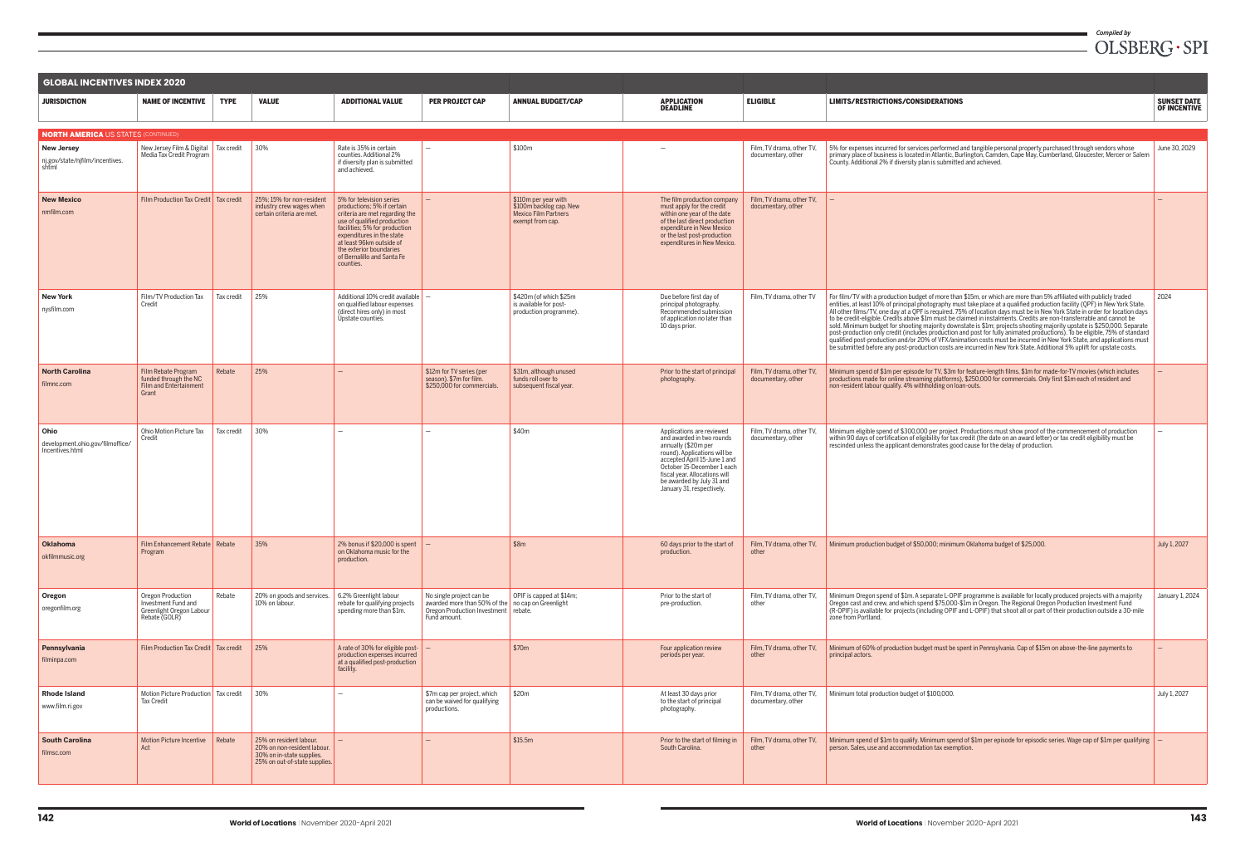| <b>GLOBAL INCENTIVES INDEX 2020</b>                           |                                                                                        |             |                                                                                                                      |                                                                                                                                                                                                                                                                                         |                                                                                                                                       |                                                                                                     |                                                                                                                                                                                                                                                                        |                                                 |                                                                                                                                                                                                                                                                                                                                                                                                                                                                                                                                                                                                                                                                                                                                                                                                                                                                                                                                                                                                                      |                                           |
|---------------------------------------------------------------|----------------------------------------------------------------------------------------|-------------|----------------------------------------------------------------------------------------------------------------------|-----------------------------------------------------------------------------------------------------------------------------------------------------------------------------------------------------------------------------------------------------------------------------------------|---------------------------------------------------------------------------------------------------------------------------------------|-----------------------------------------------------------------------------------------------------|------------------------------------------------------------------------------------------------------------------------------------------------------------------------------------------------------------------------------------------------------------------------|-------------------------------------------------|----------------------------------------------------------------------------------------------------------------------------------------------------------------------------------------------------------------------------------------------------------------------------------------------------------------------------------------------------------------------------------------------------------------------------------------------------------------------------------------------------------------------------------------------------------------------------------------------------------------------------------------------------------------------------------------------------------------------------------------------------------------------------------------------------------------------------------------------------------------------------------------------------------------------------------------------------------------------------------------------------------------------|-------------------------------------------|
| <b>JURISDICTION</b>                                           | <b>NAME OF INCENTIVE</b>                                                               | <b>TYPE</b> | <b>VALUE</b>                                                                                                         | <b>ADDITIONAL VALUE</b>                                                                                                                                                                                                                                                                 | <b>PER PROJECT CAP</b>                                                                                                                | <b>ANNUAL BUDGET/CAP</b>                                                                            | <b>APPLICATION</b><br><b>DEADLINE</b>                                                                                                                                                                                                                                  | <b>ELIGIBLE</b>                                 | LIMITS/RESTRICTIONS/CONSIDERATIONS                                                                                                                                                                                                                                                                                                                                                                                                                                                                                                                                                                                                                                                                                                                                                                                                                                                                                                                                                                                   | <b>SUNSET DATE</b><br><b>OF INCENTIVE</b> |
| <b>NORTH AMERICA US STATES (CONTINUED)</b>                    |                                                                                        |             |                                                                                                                      |                                                                                                                                                                                                                                                                                         |                                                                                                                                       |                                                                                                     |                                                                                                                                                                                                                                                                        |                                                 |                                                                                                                                                                                                                                                                                                                                                                                                                                                                                                                                                                                                                                                                                                                                                                                                                                                                                                                                                                                                                      |                                           |
| <b>New Jersey</b><br>nj.gov/state/njfilm/incentives.<br>shtml | New Jersey Film & Digital Tax credit<br>Media Tax Credit Program                       |             | 30%                                                                                                                  | Rate is 35% in certain<br>counties. Additional 2%<br>if diversity plan is submitted<br>and achieved.                                                                                                                                                                                    |                                                                                                                                       | \$100m                                                                                              |                                                                                                                                                                                                                                                                        | Film, TV drama, other TV,<br>documentary, other | 5% for expenses incurred for services performed and tangible personal property purchased through vendors whose<br>primary place of business is located in Atlantic, Burlington, Camden, Cape May, Cumberland, Gloucester, Mercer or Salem<br>County, Additional 2% if diversity plan is submitted and achieved.                                                                                                                                                                                                                                                                                                                                                                                                                                                                                                                                                                                                                                                                                                      | June 30, 2029                             |
| <b>New Mexico</b><br>nmfilm.com                               | Film Production Tax Credit   Tax credit                                                |             | 25%; 15% for non-resident<br>industry crew wages when<br>certain criteria are met.                                   | 5% for television series<br>productions; 5% if certain<br>criteria are met regarding the<br>use of qualified production<br>facilities; 5% for production<br>expenditures in the state<br>at least 96km outside of<br>the exterior boundaries<br>of Bernalillo and Santa Fe<br>counties. | $\overline{\phantom{m}}$                                                                                                              | $$110m$ per year with<br>\$100m backlog cap. New<br><b>Mexico Film Partners</b><br>exempt from cap. | The film production company<br>must apply for the credit<br>within one year of the date<br>of the last direct production<br>expenditure in New Mexico<br>or the last post-production<br>expenditures in New Mexico.                                                    | Film, TV drama, other TV,<br>documentary, other |                                                                                                                                                                                                                                                                                                                                                                                                                                                                                                                                                                                                                                                                                                                                                                                                                                                                                                                                                                                                                      |                                           |
| <b>New York</b><br>nysfilm.com                                | Film/TV Production Tax<br>Credit                                                       | Tax credit  | 25%                                                                                                                  | Additional 10% credit available<br>on qualified labour expenses<br>(direct hires only) in most<br>Upstate counties.                                                                                                                                                                     |                                                                                                                                       | $$420m$ (of which \$25m)<br>is available for post-<br>production programme).                        | Due before first day of<br>principal photography.<br>Recommended submission<br>of application no later than<br>10 days prior.                                                                                                                                          | Film, TV drama, other TV                        | For film/TV with a production budget of more than \$15m, or which are more than 5% affiliated with publicly traded<br>entities, at least 10% of principal photography must take place at a qualified production facility (QPF) in New York State.<br>All other films/TV, one day at a QPF is required. 75% of location days must be in New York State in order for location days<br>to be credit-eligible. Credits above \$1m must be claimed in instalments. Credits are non-transferrable and cannot be<br>sold. Minimum budget for shooting majority downstate is \$1m; projects shooting majority upstate is \$250,000. Separate<br>post-production only credit (includes production and post for fully animated productions). To be eligible, 75% of standard<br>gualified post-production and/or 20% of VFX/animation costs must be incurred in New York State, and applications must<br>be submitted before any post-production costs are incurred in New York State. Additional 5% uplift for upstate costs. | 2024                                      |
| <b>North Carolina</b><br>filmnc.com                           | Film Rebate Program<br>funded through the NC<br><b>Film and Entertainment</b><br>Grant | Rebate      | 25%                                                                                                                  |                                                                                                                                                                                                                                                                                         | \$12m for TV series (per<br>season). \$7m for film.<br>\$250,000 for commercials.                                                     | \$31m, although unused<br>funds roll over to<br>subsequent fiscal year.                             | Prior to the start of principal<br>photography.                                                                                                                                                                                                                        | Film, TV drama, other TV,<br>documentary, other | Minimum spend of \$1m per episode for TV, \$3m for feature-length films, \$1m for made-for-TV movies (which includes<br>productions made for online streaming platforms), \$250,000 for commercials. Only first \$1m each of resident and<br>non-resident labour qualify. 4% withholding on loan-outs.                                                                                                                                                                                                                                                                                                                                                                                                                                                                                                                                                                                                                                                                                                               |                                           |
| Ohio<br>development.ohio.gov/filmoffice/<br>Incentives.html   | Ohio Motion Picture Tax<br>Credit                                                      | Tax credit  | 30%                                                                                                                  |                                                                                                                                                                                                                                                                                         |                                                                                                                                       | \$40m                                                                                               | Applications are reviewed<br>and awarded in two rounds<br>annually (\$20m per<br>round). Applications will be<br>accepted April 15-June 1 and<br>October 15-December 1 each<br>fiscal year. Allocations will<br>be awarded by July 31 and<br>January 31, respectively. | Film, TV drama, other TV,<br>documentary, other | Minimum eligible spend of \$300,000 per project. Productions must show proof of the commencement of production<br>within 90 days of certification of eligibility for tax credit (the date on an award letter) or tax credit eligibility must be<br>rescinded unless the applicant demonstrates good cause for the delay of production.                                                                                                                                                                                                                                                                                                                                                                                                                                                                                                                                                                                                                                                                               |                                           |
| <b>Oklahoma</b><br>okfilmmusic.org                            | Film Enhancement Rebate Rebate<br>Program                                              |             | 35%                                                                                                                  | 2% bonus if \$20,000 is spent $\vert -$<br>on Oklahoma music for the<br>production.                                                                                                                                                                                                     |                                                                                                                                       | \$8m                                                                                                | 60 days prior to the start of<br>production.                                                                                                                                                                                                                           | Film. TV drama, other TV.<br>other              | Minimum production budget of \$50,000; minimum Oklahoma budget of \$25,000.                                                                                                                                                                                                                                                                                                                                                                                                                                                                                                                                                                                                                                                                                                                                                                                                                                                                                                                                          | July 1, 2027                              |
| Oregon<br>oregonfilm.org                                      | Oregon Production<br>Investment Fund and<br>Greenlight Oregon Labour<br>Rebate (GOLR)  | Rebate      | 20% on goods and services.<br>10% on labour.                                                                         | 6.2% Greenlight labour<br>rebate for qualifying projects<br>spending more than \$1m.                                                                                                                                                                                                    | No single project can be<br>awarded more than 50% of the no cap on Greenlight<br>Oregon Production Investment rebate.<br>Fund amount. | OPIF is capped at \$14m;                                                                            | Prior to the start of<br>pre-production.                                                                                                                                                                                                                               | Film, TV drama, other TV,<br>other              | Minimum Oregon spend of \$1m. A separate L-OPIF programme is available for locally produced projects with a majority<br>Oregon cast and crew, and which spend \$75,000-\$1m in Oregon. The Regional Oregon Production Investment Fund<br>(R-OPIF) is available for projects (including OPIF and L-OPIF) that shoot all or part of their production outside a 30-mile<br>zone from Portland.                                                                                                                                                                                                                                                                                                                                                                                                                                                                                                                                                                                                                          | January 1, 2024                           |
| Pennsylvania<br>filminpa.com                                  | Film Production Tax Credit   Tax credit                                                |             | 25%                                                                                                                  | A rate of 30% for eligible post- $\vert - \vert$<br>production expenses incurred<br>at a qualified post-production<br>facility.                                                                                                                                                         |                                                                                                                                       | \$70m                                                                                               | Four application review<br>periods per year.                                                                                                                                                                                                                           | Film, TV drama, other TV,<br>other              | Minimum of 60% of production budget must be spent in Pennsylvania. Cap of \$15m on above-the-line payments to<br>principal actors.                                                                                                                                                                                                                                                                                                                                                                                                                                                                                                                                                                                                                                                                                                                                                                                                                                                                                   |                                           |
| <b>Rhode Island</b><br>www.film.ri.gov                        | Motion Picture Production Tax credit<br><b>Tax Credit</b>                              |             | 30%                                                                                                                  |                                                                                                                                                                                                                                                                                         | \$7m cap per project, which<br>can be waived for qualifying<br>productions.                                                           | \$20m                                                                                               | At least 30 days prior<br>to the start of principal<br>photography.                                                                                                                                                                                                    | Film, TV drama, other TV,<br>documentary, other | Minimum total production budget of \$100,000.                                                                                                                                                                                                                                                                                                                                                                                                                                                                                                                                                                                                                                                                                                                                                                                                                                                                                                                                                                        | July 1, 2027                              |
| <b>South Carolina</b><br>filmsc.com                           | <b>Motion Picture Incentive</b><br>Act                                                 | Rebate      | 25% on resident labour.<br>20% on non-resident labour.<br>30% on in-state supplies.<br>25% on out-of-state supplies. |                                                                                                                                                                                                                                                                                         |                                                                                                                                       | \$15.5m                                                                                             | Prior to the start of filming in<br>South Carolina.                                                                                                                                                                                                                    | Film, TV drama, other TV,<br>other              | Minimum spend of \$1m to qualify. Minimum spend of \$1m per episode for episodic series. Wage cap of \$1m per qualifying $\vert -$<br>person. Sales, use and accommodation tax exemption.                                                                                                                                                                                                                                                                                                                                                                                                                                                                                                                                                                                                                                                                                                                                                                                                                            |                                           |